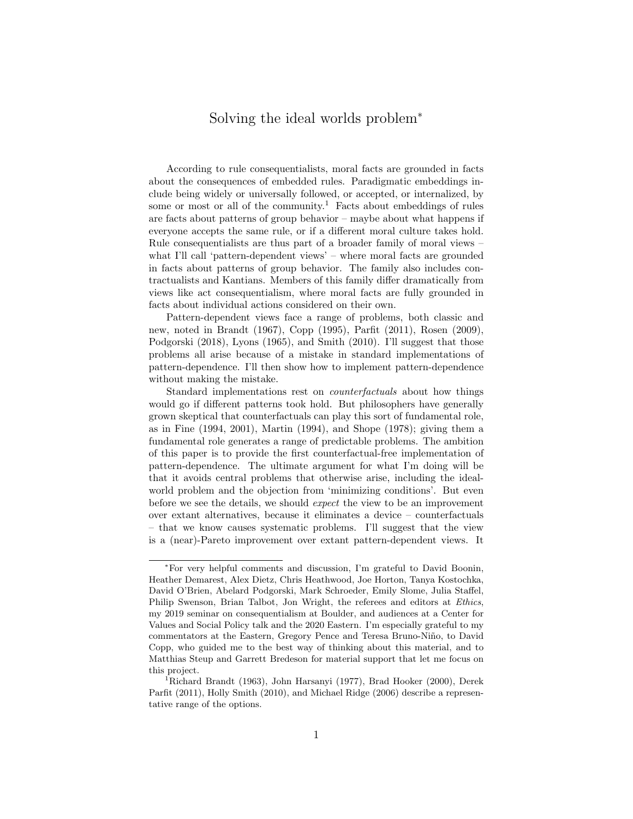# Solving the ideal worlds problem<sup>∗</sup>

According to rule consequentialists, moral facts are grounded in facts about the consequences of embedded rules. Paradigmatic embeddings include being widely or universally followed, or accepted, or internalized, by some or most or all of the community.<sup>1</sup> Facts about embeddings of rules are facts about patterns of group behavior – maybe about what happens if everyone accepts the same rule, or if a different moral culture takes hold. Rule consequentialists are thus part of a broader family of moral views – what I'll call 'pattern-dependent views' – where moral facts are grounded in facts about patterns of group behavior. The family also includes contractualists and Kantians. Members of this family differ dramatically from views like act consequentialism, where moral facts are fully grounded in facts about individual actions considered on their own.

Pattern-dependent views face a range of problems, both classic and new, noted in Brandt (1967), Copp (1995), Parfit (2011), Rosen (2009), Podgorski (2018), Lyons (1965), and Smith (2010). I'll suggest that those problems all arise because of a mistake in standard implementations of pattern-dependence. I'll then show how to implement pattern-dependence without making the mistake.

Standard implementations rest on counterfactuals about how things would go if different patterns took hold. But philosophers have generally grown skeptical that counterfactuals can play this sort of fundamental role, as in Fine (1994, 2001), Martin (1994), and Shope (1978); giving them a fundamental role generates a range of predictable problems. The ambition of this paper is to provide the first counterfactual-free implementation of pattern-dependence. The ultimate argument for what I'm doing will be that it avoids central problems that otherwise arise, including the idealworld problem and the objection from 'minimizing conditions'. But even before we see the details, we should expect the view to be an improvement over extant alternatives, because it eliminates a device – counterfactuals – that we know causes systematic problems. I'll suggest that the view is a (near)-Pareto improvement over extant pattern-dependent views. It

<sup>∗</sup>For very helpful comments and discussion, I'm grateful to David Boonin, Heather Demarest, Alex Dietz, Chris Heathwood, Joe Horton, Tanya Kostochka, David O'Brien, Abelard Podgorski, Mark Schroeder, Emily Slome, Julia Staffel, Philip Swenson, Brian Talbot, Jon Wright, the referees and editors at Ethics, my 2019 seminar on consequentialism at Boulder, and audiences at a Center for Values and Social Policy talk and the 2020 Eastern. I'm especially grateful to my commentators at the Eastern, Gregory Pence and Teresa Bruno-Niño, to David Copp, who guided me to the best way of thinking about this material, and to Matthias Steup and Garrett Bredeson for material support that let me focus on this project.

<sup>&</sup>lt;sup>1</sup>Richard Brandt (1963), John Harsanyi (1977), Brad Hooker (2000), Derek Parfit (2011), Holly Smith (2010), and Michael Ridge (2006) describe a representative range of the options.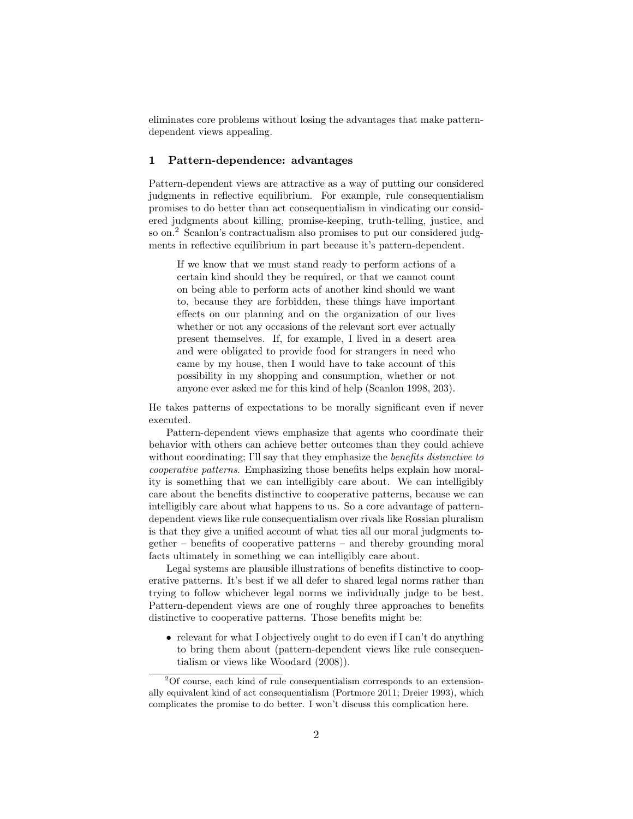eliminates core problems without losing the advantages that make patterndependent views appealing.

#### 1 Pattern-dependence: advantages

Pattern-dependent views are attractive as a way of putting our considered judgments in reflective equilibrium. For example, rule consequentialism promises to do better than act consequentialism in vindicating our considered judgments about killing, promise-keeping, truth-telling, justice, and so on.<sup>2</sup> Scanlon's contractualism also promises to put our considered judgments in reflective equilibrium in part because it's pattern-dependent.

If we know that we must stand ready to perform actions of a certain kind should they be required, or that we cannot count on being able to perform acts of another kind should we want to, because they are forbidden, these things have important effects on our planning and on the organization of our lives whether or not any occasions of the relevant sort ever actually present themselves. If, for example, I lived in a desert area and were obligated to provide food for strangers in need who came by my house, then I would have to take account of this possibility in my shopping and consumption, whether or not anyone ever asked me for this kind of help (Scanlon 1998, 203).

He takes patterns of expectations to be morally significant even if never executed.

Pattern-dependent views emphasize that agents who coordinate their behavior with others can achieve better outcomes than they could achieve without coordinating; I'll say that they emphasize the *benefits distinctive to* cooperative patterns. Emphasizing those benefits helps explain how morality is something that we can intelligibly care about. We can intelligibly care about the benefits distinctive to cooperative patterns, because we can intelligibly care about what happens to us. So a core advantage of patterndependent views like rule consequentialism over rivals like Rossian pluralism is that they give a unified account of what ties all our moral judgments together – benefits of cooperative patterns – and thereby grounding moral facts ultimately in something we can intelligibly care about.

Legal systems are plausible illustrations of benefits distinctive to cooperative patterns. It's best if we all defer to shared legal norms rather than trying to follow whichever legal norms we individually judge to be best. Pattern-dependent views are one of roughly three approaches to benefits distinctive to cooperative patterns. Those benefits might be:

• relevant for what I objectively ought to do even if I can't do anything to bring them about (pattern-dependent views like rule consequentialism or views like Woodard (2008)).

 $2^2$ Of course, each kind of rule consequentialism corresponds to an extensionally equivalent kind of act consequentialism (Portmore 2011; Dreier 1993), which complicates the promise to do better. I won't discuss this complication here.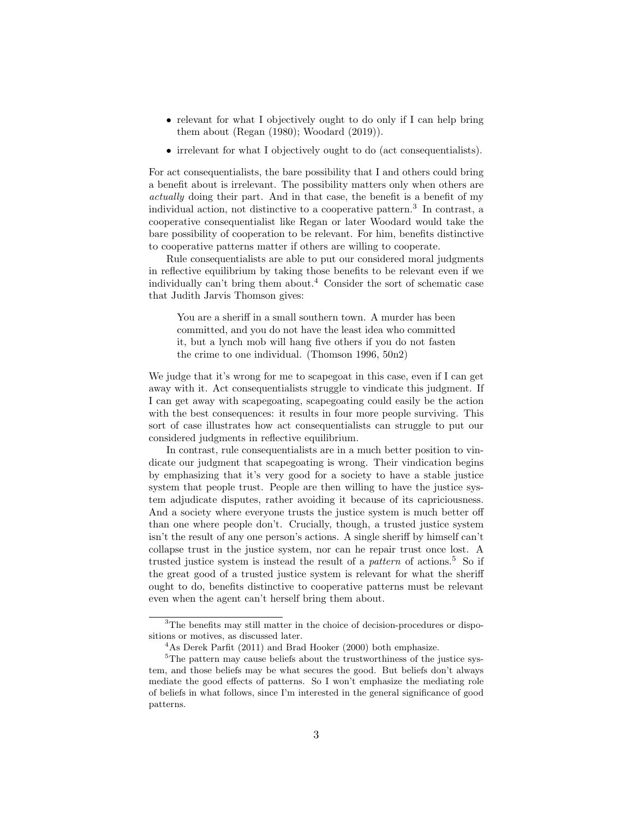- relevant for what I objectively ought to do only if I can help bring them about (Regan (1980); Woodard (2019)).
- irrelevant for what I objectively ought to do (act consequentialists).

For act consequentialists, the bare possibility that I and others could bring a benefit about is irrelevant. The possibility matters only when others are actually doing their part. And in that case, the benefit is a benefit of my individual action, not distinctive to a cooperative pattern.<sup>3</sup> In contrast, a cooperative consequentialist like Regan or later Woodard would take the bare possibility of cooperation to be relevant. For him, benefits distinctive to cooperative patterns matter if others are willing to cooperate.

Rule consequentialists are able to put our considered moral judgments in reflective equilibrium by taking those benefits to be relevant even if we individually can't bring them about.<sup>4</sup> Consider the sort of schematic case that Judith Jarvis Thomson gives:

You are a sheriff in a small southern town. A murder has been committed, and you do not have the least idea who committed it, but a lynch mob will hang five others if you do not fasten the crime to one individual. (Thomson 1996, 50n2)

We judge that it's wrong for me to scapegoat in this case, even if I can get away with it. Act consequentialists struggle to vindicate this judgment. If I can get away with scapegoating, scapegoating could easily be the action with the best consequences: it results in four more people surviving. This sort of case illustrates how act consequentialists can struggle to put our considered judgments in reflective equilibrium.

In contrast, rule consequentialists are in a much better position to vindicate our judgment that scapegoating is wrong. Their vindication begins by emphasizing that it's very good for a society to have a stable justice system that people trust. People are then willing to have the justice system adjudicate disputes, rather avoiding it because of its capriciousness. And a society where everyone trusts the justice system is much better off than one where people don't. Crucially, though, a trusted justice system isn't the result of any one person's actions. A single sheriff by himself can't collapse trust in the justice system, nor can he repair trust once lost. A trusted justice system is instead the result of a *pattern* of actions.<sup>5</sup> So if the great good of a trusted justice system is relevant for what the sheriff ought to do, benefits distinctive to cooperative patterns must be relevant even when the agent can't herself bring them about.

<sup>&</sup>lt;sup>3</sup>The benefits may still matter in the choice of decision-procedures or dispositions or motives, as discussed later.

 $4$ As Derek Parfit (2011) and Brad Hooker (2000) both emphasize.

 $5$ The pattern may cause beliefs about the trustworthiness of the justice system, and those beliefs may be what secures the good. But beliefs don't always mediate the good effects of patterns. So I won't emphasize the mediating role of beliefs in what follows, since I'm interested in the general significance of good patterns.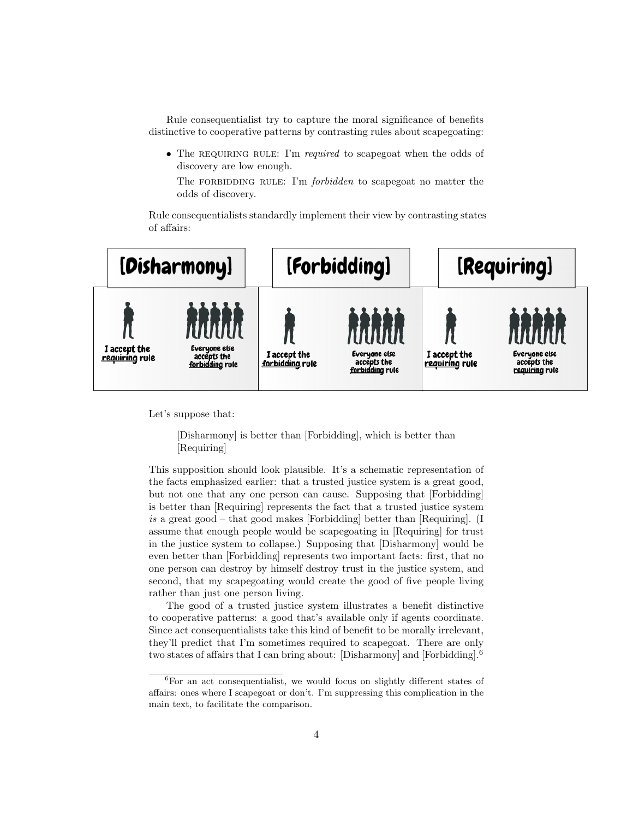Rule consequentialist try to capture the moral significance of benefits distinctive to cooperative patterns by contrasting rules about scapegoating:

• The REQUIRING RULE: I'm required to scapegoat when the odds of discovery are low enough.

The FORBIDDING RULE: I'm *forbidden* to scapegoat no matter the odds of discovery.

Rule consequentialists standardly implement their view by contrasting states of affairs:



Let's suppose that:

# [Disharmony] is better than [Forbidding], which is better than [Requiring]

This supposition should look plausible. It's a schematic representation of the facts emphasized earlier: that a trusted justice system is a great good, but not one that any one person can cause. Supposing that [Forbidding] is better than [Requiring] represents the fact that a trusted justice system is a great good – that good makes [Forbidding] better than [Requiring]. (I assume that enough people would be scapegoating in [Requiring] for trust in the justice system to collapse.) Supposing that [Disharmony] would be even better than [Forbidding] represents two important facts: first, that no one person can destroy by himself destroy trust in the justice system, and second, that my scapegoating would create the good of five people living rather than just one person living.

The good of a trusted justice system illustrates a benefit distinctive to cooperative patterns: a good that's available only if agents coordinate. Since act consequentialists take this kind of benefit to be morally irrelevant, they'll predict that I'm sometimes required to scapegoat. There are only two states of affairs that I can bring about: [Disharmony] and [Forbidding].<sup>6</sup>

 ${}^{6}$ For an act consequentialist, we would focus on slightly different states of affairs: ones where I scapegoat or don't. I'm suppressing this complication in the main text, to facilitate the comparison.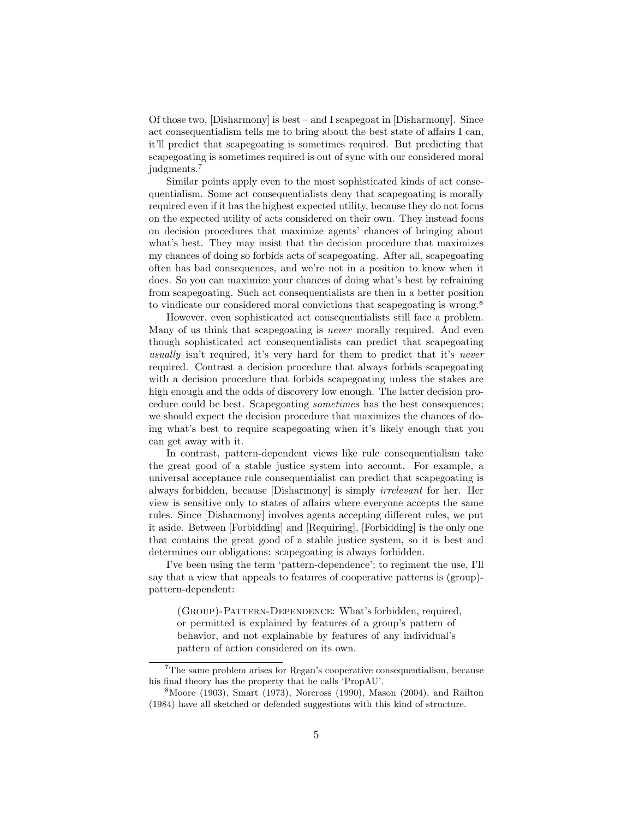Of those two, [Disharmony] is best – and I scapegoat in [Disharmony]. Since act consequentialism tells me to bring about the best state of affairs I can, it'll predict that scapegoating is sometimes required. But predicting that scapegoating is sometimes required is out of sync with our considered moral judgments.<sup>7</sup>

Similar points apply even to the most sophisticated kinds of act consequentialism. Some act consequentialists deny that scapegoating is morally required even if it has the highest expected utility, because they do not focus on the expected utility of acts considered on their own. They instead focus on decision procedures that maximize agents' chances of bringing about what's best. They may insist that the decision procedure that maximizes my chances of doing so forbids acts of scapegoating. After all, scapegoating often has bad consequences, and we're not in a position to know when it does. So you can maximize your chances of doing what's best by refraining from scapegoating. Such act consequentialists are then in a better position to vindicate our considered moral convictions that scapegoating is wrong.<sup>8</sup>

However, even sophisticated act consequentialists still face a problem. Many of us think that scapegoating is *never* morally required. And even though sophisticated act consequentialists can predict that scapegoating usually isn't required, it's very hard for them to predict that it's never required. Contrast a decision procedure that always forbids scapegoating with a decision procedure that forbids scapegoating unless the stakes are high enough and the odds of discovery low enough. The latter decision procedure could be best. Scapegoating sometimes has the best consequences; we should expect the decision procedure that maximizes the chances of doing what's best to require scapegoating when it's likely enough that you can get away with it.

In contrast, pattern-dependent views like rule consequentialism take the great good of a stable justice system into account. For example, a universal acceptance rule consequentialist can predict that scapegoating is always forbidden, because [Disharmony] is simply irrelevant for her. Her view is sensitive only to states of affairs where everyone accepts the same rules. Since [Disharmony] involves agents accepting different rules, we put it aside. Between [Forbidding] and [Requiring], [Forbidding] is the only one that contains the great good of a stable justice system, so it is best and determines our obligations: scapegoating is always forbidden.

I've been using the term 'pattern-dependence'; to regiment the use, I'll say that a view that appeals to features of cooperative patterns is (group) pattern-dependent:

(Group)-Pattern-Dependence: What's forbidden, required, or permitted is explained by features of a group's pattern of behavior, and not explainable by features of any individual's pattern of action considered on its own.

<sup>7</sup>The same problem arises for Regan's cooperative consequentialism, because his final theory has the property that he calls 'PropAU'.

 $8$ Moore (1903), Smart (1973), Norcross (1990), Mason (2004), and Railton (1984) have all sketched or defended suggestions with this kind of structure.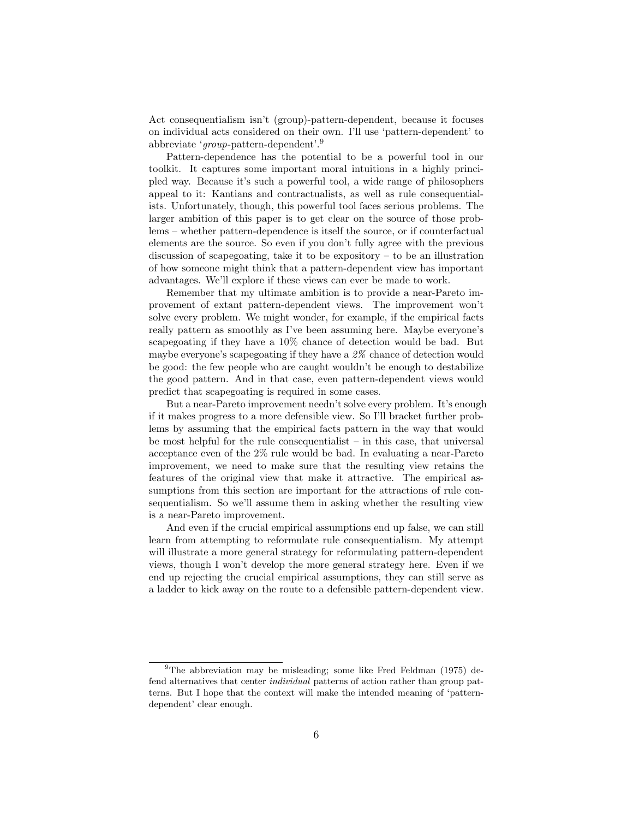Act consequentialism isn't (group)-pattern-dependent, because it focuses on individual acts considered on their own. I'll use 'pattern-dependent' to abbreviate 'group-pattern-dependent'.<sup>9</sup>

Pattern-dependence has the potential to be a powerful tool in our toolkit. It captures some important moral intuitions in a highly principled way. Because it's such a powerful tool, a wide range of philosophers appeal to it: Kantians and contractualists, as well as rule consequentialists. Unfortunately, though, this powerful tool faces serious problems. The larger ambition of this paper is to get clear on the source of those problems – whether pattern-dependence is itself the source, or if counterfactual elements are the source. So even if you don't fully agree with the previous discussion of scapegoating, take it to be expository  $-$  to be an illustration of how someone might think that a pattern-dependent view has important advantages. We'll explore if these views can ever be made to work.

Remember that my ultimate ambition is to provide a near-Pareto improvement of extant pattern-dependent views. The improvement won't solve every problem. We might wonder, for example, if the empirical facts really pattern as smoothly as I've been assuming here. Maybe everyone's scapegoating if they have a 10% chance of detection would be bad. But maybe everyone's scapegoating if they have a 2% chance of detection would be good: the few people who are caught wouldn't be enough to destabilize the good pattern. And in that case, even pattern-dependent views would predict that scapegoating is required in some cases.

But a near-Pareto improvement needn't solve every problem. It's enough if it makes progress to a more defensible view. So I'll bracket further problems by assuming that the empirical facts pattern in the way that would be most helpful for the rule consequentialist – in this case, that universal acceptance even of the 2% rule would be bad. In evaluating a near-Pareto improvement, we need to make sure that the resulting view retains the features of the original view that make it attractive. The empirical assumptions from this section are important for the attractions of rule consequentialism. So we'll assume them in asking whether the resulting view is a near-Pareto improvement.

And even if the crucial empirical assumptions end up false, we can still learn from attempting to reformulate rule consequentialism. My attempt will illustrate a more general strategy for reformulating pattern-dependent views, though I won't develop the more general strategy here. Even if we end up rejecting the crucial empirical assumptions, they can still serve as a ladder to kick away on the route to a defensible pattern-dependent view.

<sup>&</sup>lt;sup>9</sup>The abbreviation may be misleading; some like Fred Feldman (1975) defend alternatives that center individual patterns of action rather than group patterns. But I hope that the context will make the intended meaning of 'patterndependent' clear enough.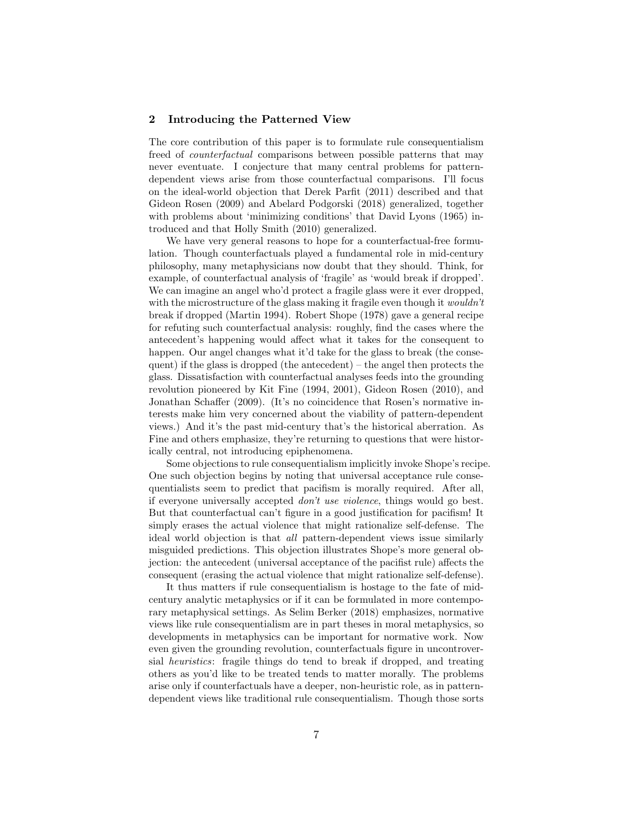# 2 Introducing the Patterned View

The core contribution of this paper is to formulate rule consequentialism freed of *counterfactual* comparisons between possible patterns that may never eventuate. I conjecture that many central problems for patterndependent views arise from those counterfactual comparisons. I'll focus on the ideal-world objection that Derek Parfit (2011) described and that Gideon Rosen (2009) and Abelard Podgorski (2018) generalized, together with problems about 'minimizing conditions' that David Lyons (1965) introduced and that Holly Smith (2010) generalized.

We have very general reasons to hope for a counterfactual-free formulation. Though counterfactuals played a fundamental role in mid-century philosophy, many metaphysicians now doubt that they should. Think, for example, of counterfactual analysis of 'fragile' as 'would break if dropped'. We can imagine an angel who'd protect a fragile glass were it ever dropped, with the microstructure of the glass making it fragile even though it *wouldn't* break if dropped (Martin 1994). Robert Shope (1978) gave a general recipe for refuting such counterfactual analysis: roughly, find the cases where the antecedent's happening would affect what it takes for the consequent to happen. Our angel changes what it'd take for the glass to break (the consequent) if the glass is dropped (the antecedent) – the angel then protects the glass. Dissatisfaction with counterfactual analyses feeds into the grounding revolution pioneered by Kit Fine (1994, 2001), Gideon Rosen (2010), and Jonathan Schaffer (2009). (It's no coincidence that Rosen's normative interests make him very concerned about the viability of pattern-dependent views.) And it's the past mid-century that's the historical aberration. As Fine and others emphasize, they're returning to questions that were historically central, not introducing epiphenomena.

Some objections to rule consequentialism implicitly invoke Shope's recipe. One such objection begins by noting that universal acceptance rule consequentialists seem to predict that pacifism is morally required. After all, if everyone universally accepted don't use violence, things would go best. But that counterfactual can't figure in a good justification for pacifism! It simply erases the actual violence that might rationalize self-defense. The ideal world objection is that all pattern-dependent views issue similarly misguided predictions. This objection illustrates Shope's more general objection: the antecedent (universal acceptance of the pacifist rule) affects the consequent (erasing the actual violence that might rationalize self-defense).

It thus matters if rule consequentialism is hostage to the fate of midcentury analytic metaphysics or if it can be formulated in more contemporary metaphysical settings. As Selim Berker (2018) emphasizes, normative views like rule consequentialism are in part theses in moral metaphysics, so developments in metaphysics can be important for normative work. Now even given the grounding revolution, counterfactuals figure in uncontroversial heuristics: fragile things do tend to break if dropped, and treating others as you'd like to be treated tends to matter morally. The problems arise only if counterfactuals have a deeper, non-heuristic role, as in patterndependent views like traditional rule consequentialism. Though those sorts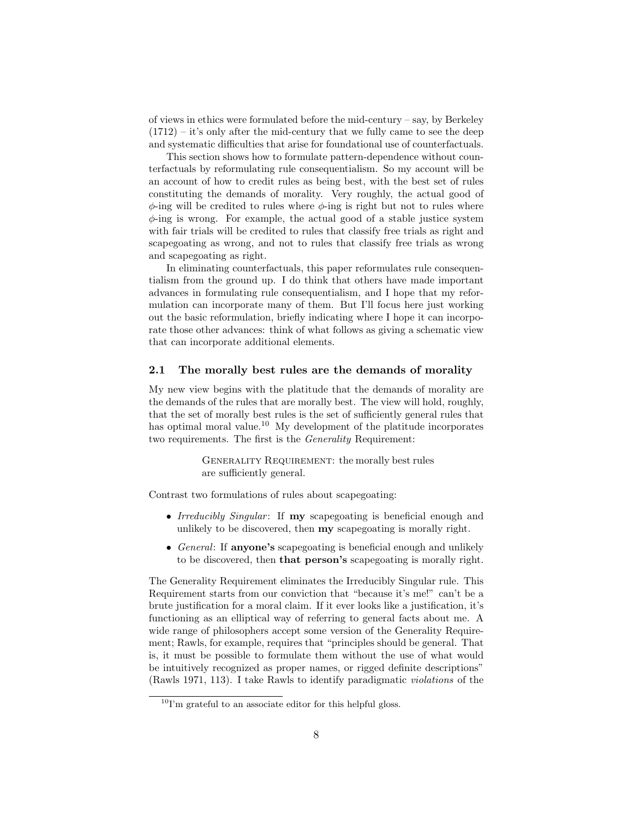of views in ethics were formulated before the mid-century  $-$  say, by Berkeley  $(1712) - it's only after the mid-century that we fully came to see the deep$ and systematic difficulties that arise for foundational use of counterfactuals.

This section shows how to formulate pattern-dependence without counterfactuals by reformulating rule consequentialism. So my account will be an account of how to credit rules as being best, with the best set of rules constituting the demands of morality. Very roughly, the actual good of  $\phi$ -ing will be credited to rules where  $\phi$ -ing is right but not to rules where  $\phi$ -ing is wrong. For example, the actual good of a stable justice system with fair trials will be credited to rules that classify free trials as right and scapegoating as wrong, and not to rules that classify free trials as wrong and scapegoating as right.

In eliminating counterfactuals, this paper reformulates rule consequentialism from the ground up. I do think that others have made important advances in formulating rule consequentialism, and I hope that my reformulation can incorporate many of them. But I'll focus here just working out the basic reformulation, briefly indicating where I hope it can incorporate those other advances: think of what follows as giving a schematic view that can incorporate additional elements.

#### 2.1 The morally best rules are the demands of morality

My new view begins with the platitude that the demands of morality are the demands of the rules that are morally best. The view will hold, roughly, that the set of morally best rules is the set of sufficiently general rules that has optimal moral value.<sup>10</sup> My development of the platitude incorporates two requirements. The first is the Generality Requirement:

> GENERALITY REQUIREMENT: the morally best rules are sufficiently general.

Contrast two formulations of rules about scapegoating:

- Irreducibly Singular: If my scapegoating is beneficial enough and unlikely to be discovered, then my scapegoating is morally right.
- General: If anyone's scapegoating is beneficial enough and unlikely to be discovered, then that person's scapegoating is morally right.

The Generality Requirement eliminates the Irreducibly Singular rule. This Requirement starts from our conviction that "because it's me!" can't be a brute justification for a moral claim. If it ever looks like a justification, it's functioning as an elliptical way of referring to general facts about me. A wide range of philosophers accept some version of the Generality Requirement; Rawls, for example, requires that "principles should be general. That is, it must be possible to formulate them without the use of what would be intuitively recognized as proper names, or rigged definite descriptions" (Rawls 1971, 113). I take Rawls to identify paradigmatic violations of the

 $^{10}\Gamma{}^{\prime}$  grateful to an associate editor for this helpful gloss.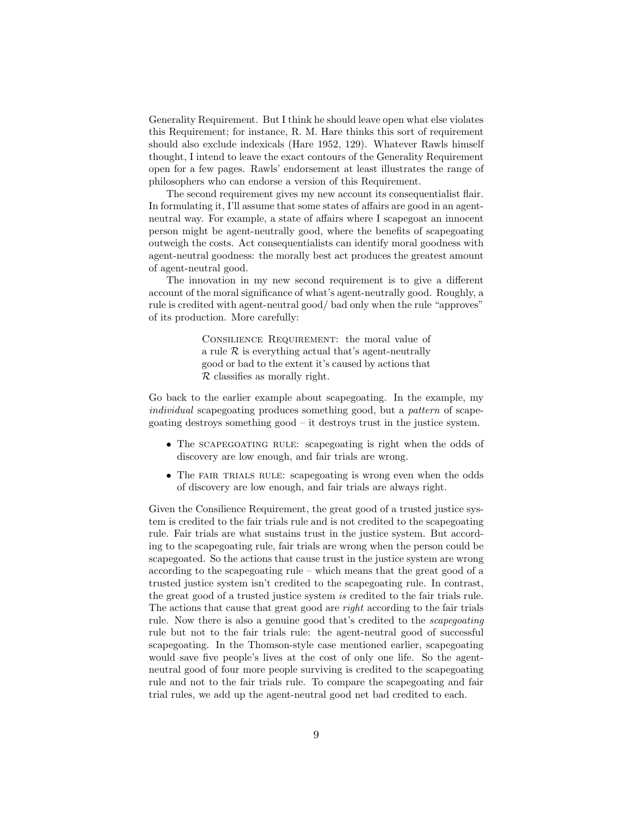Generality Requirement. But I think he should leave open what else violates this Requirement; for instance, R. M. Hare thinks this sort of requirement should also exclude indexicals (Hare 1952, 129). Whatever Rawls himself thought, I intend to leave the exact contours of the Generality Requirement open for a few pages. Rawls' endorsement at least illustrates the range of philosophers who can endorse a version of this Requirement.

The second requirement gives my new account its consequentialist flair. In formulating it, I'll assume that some states of affairs are good in an agentneutral way. For example, a state of affairs where I scapegoat an innocent person might be agent-neutrally good, where the benefits of scapegoating outweigh the costs. Act consequentialists can identify moral goodness with agent-neutral goodness: the morally best act produces the greatest amount of agent-neutral good.

The innovation in my new second requirement is to give a different account of the moral significance of what's agent-neutrally good. Roughly, a rule is credited with agent-neutral good/ bad only when the rule "approves" of its production. More carefully:

> CONSILIENCE REQUIREMENT: the moral value of a rule  $R$  is everything actual that's agent-neutrally good or bad to the extent it's caused by actions that  $\mathcal R$  classifies as morally right.

Go back to the earlier example about scapegoating. In the example, my individual scapegoating produces something good, but a pattern of scapegoating destroys something good – it destroys trust in the justice system.

- The scapegoating rule: scapegoating is right when the odds of discovery are low enough, and fair trials are wrong.
- The FAIR TRIALS RULE: scapegoating is wrong even when the odds of discovery are low enough, and fair trials are always right.

Given the Consilience Requirement, the great good of a trusted justice system is credited to the fair trials rule and is not credited to the scapegoating rule. Fair trials are what sustains trust in the justice system. But according to the scapegoating rule, fair trials are wrong when the person could be scapegoated. So the actions that cause trust in the justice system are wrong according to the scapegoating rule – which means that the great good of a trusted justice system isn't credited to the scapegoating rule. In contrast, the great good of a trusted justice system is credited to the fair trials rule. The actions that cause that great good are right according to the fair trials rule. Now there is also a genuine good that's credited to the scapegoating rule but not to the fair trials rule: the agent-neutral good of successful scapegoating. In the Thomson-style case mentioned earlier, scapegoating would save five people's lives at the cost of only one life. So the agentneutral good of four more people surviving is credited to the scapegoating rule and not to the fair trials rule. To compare the scapegoating and fair trial rules, we add up the agent-neutral good net bad credited to each.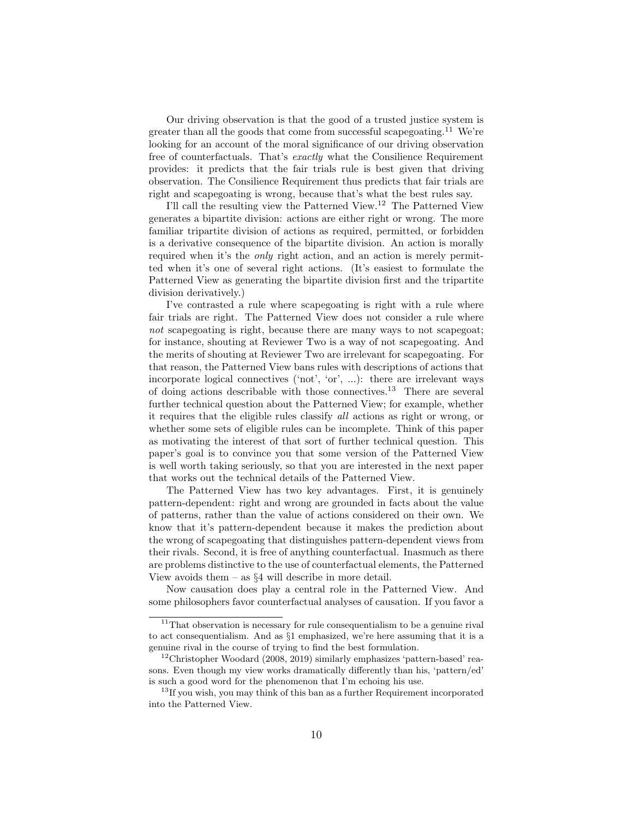Our driving observation is that the good of a trusted justice system is greater than all the goods that come from successful scapegoating.<sup>11</sup> We're looking for an account of the moral significance of our driving observation free of counterfactuals. That's exactly what the Consilience Requirement provides: it predicts that the fair trials rule is best given that driving observation. The Consilience Requirement thus predicts that fair trials are right and scapegoating is wrong, because that's what the best rules say.

I'll call the resulting view the Patterned View.<sup>12</sup> The Patterned View generates a bipartite division: actions are either right or wrong. The more familiar tripartite division of actions as required, permitted, or forbidden is a derivative consequence of the bipartite division. An action is morally required when it's the only right action, and an action is merely permitted when it's one of several right actions. (It's easiest to formulate the Patterned View as generating the bipartite division first and the tripartite division derivatively.)

I've contrasted a rule where scapegoating is right with a rule where fair trials are right. The Patterned View does not consider a rule where not scapegoating is right, because there are many ways to not scapegoat; for instance, shouting at Reviewer Two is a way of not scapegoating. And the merits of shouting at Reviewer Two are irrelevant for scapegoating. For that reason, the Patterned View bans rules with descriptions of actions that incorporate logical connectives ('not', 'or', ...): there are irrelevant ways of doing actions describable with those connectives.<sup>13</sup> There are several further technical question about the Patterned View; for example, whether it requires that the eligible rules classify all actions as right or wrong, or whether some sets of eligible rules can be incomplete. Think of this paper as motivating the interest of that sort of further technical question. This paper's goal is to convince you that some version of the Patterned View is well worth taking seriously, so that you are interested in the next paper that works out the technical details of the Patterned View.

The Patterned View has two key advantages. First, it is genuinely pattern-dependent: right and wrong are grounded in facts about the value of patterns, rather than the value of actions considered on their own. We know that it's pattern-dependent because it makes the prediction about the wrong of scapegoating that distinguishes pattern-dependent views from their rivals. Second, it is free of anything counterfactual. Inasmuch as there are problems distinctive to the use of counterfactual elements, the Patterned View avoids them – as  $\S 4$  will describe in more detail.

Now causation does play a central role in the Patterned View. And some philosophers favor counterfactual analyses of causation. If you favor a

 $11$ That observation is necessary for rule consequentialism to be a genuine rival to act consequentialism. And as §1 emphasized, we're here assuming that it is a genuine rival in the course of trying to find the best formulation.

 $12$ Christopher Woodard (2008, 2019) similarly emphasizes 'pattern-based' reasons. Even though my view works dramatically differently than his, 'pattern/ed' is such a good word for the phenomenon that I'm echoing his use.

<sup>&</sup>lt;sup>13</sup>If you wish, you may think of this ban as a further Requirement incorporated into the Patterned View.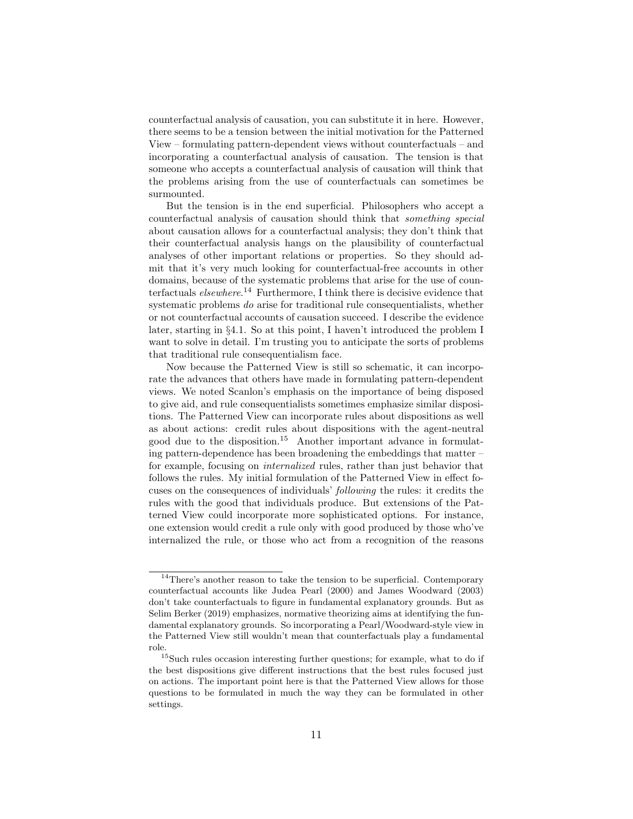counterfactual analysis of causation, you can substitute it in here. However, there seems to be a tension between the initial motivation for the Patterned View – formulating pattern-dependent views without counterfactuals – and incorporating a counterfactual analysis of causation. The tension is that someone who accepts a counterfactual analysis of causation will think that the problems arising from the use of counterfactuals can sometimes be surmounted.

But the tension is in the end superficial. Philosophers who accept a counterfactual analysis of causation should think that something special about causation allows for a counterfactual analysis; they don't think that their counterfactual analysis hangs on the plausibility of counterfactual analyses of other important relations or properties. So they should admit that it's very much looking for counterfactual-free accounts in other domains, because of the systematic problems that arise for the use of counterfactuals *elsewhere*.<sup>14</sup> Furthermore, I think there is decisive evidence that systematic problems do arise for traditional rule consequentialists, whether or not counterfactual accounts of causation succeed. I describe the evidence later, starting in §4.1. So at this point, I haven't introduced the problem I want to solve in detail. I'm trusting you to anticipate the sorts of problems that traditional rule consequentialism face.

Now because the Patterned View is still so schematic, it can incorporate the advances that others have made in formulating pattern-dependent views. We noted Scanlon's emphasis on the importance of being disposed to give aid, and rule consequentialists sometimes emphasize similar dispositions. The Patterned View can incorporate rules about dispositions as well as about actions: credit rules about dispositions with the agent-neutral good due to the disposition.<sup>15</sup> Another important advance in formulating pattern-dependence has been broadening the embeddings that matter – for example, focusing on internalized rules, rather than just behavior that follows the rules. My initial formulation of the Patterned View in effect focuses on the consequences of individuals' following the rules: it credits the rules with the good that individuals produce. But extensions of the Patterned View could incorporate more sophisticated options. For instance, one extension would credit a rule only with good produced by those who've internalized the rule, or those who act from a recognition of the reasons

 $14$ There's another reason to take the tension to be superficial. Contemporary counterfactual accounts like Judea Pearl (2000) and James Woodward (2003) don't take counterfactuals to figure in fundamental explanatory grounds. But as Selim Berker (2019) emphasizes, normative theorizing aims at identifying the fundamental explanatory grounds. So incorporating a Pearl/Woodward-style view in the Patterned View still wouldn't mean that counterfactuals play a fundamental role.

 $^{15}\rm{Such}$  rules occasion interesting further questions; for example, what to do if the best dispositions give different instructions that the best rules focused just on actions. The important point here is that the Patterned View allows for those questions to be formulated in much the way they can be formulated in other settings.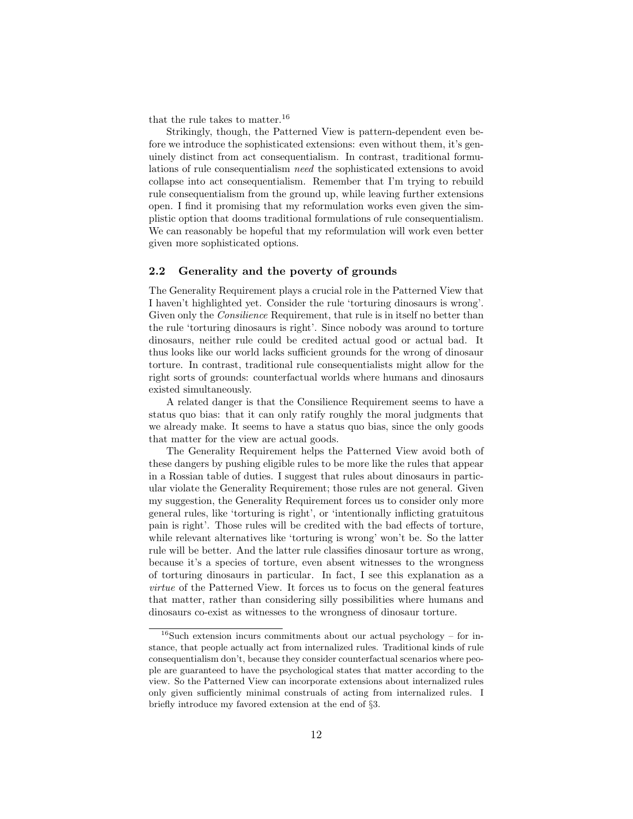that the rule takes to matter.<sup>16</sup>

Strikingly, though, the Patterned View is pattern-dependent even before we introduce the sophisticated extensions: even without them, it's genuinely distinct from act consequentialism. In contrast, traditional formulations of rule consequentialism need the sophisticated extensions to avoid collapse into act consequentialism. Remember that I'm trying to rebuild rule consequentialism from the ground up, while leaving further extensions open. I find it promising that my reformulation works even given the simplistic option that dooms traditional formulations of rule consequentialism. We can reasonably be hopeful that my reformulation will work even better given more sophisticated options.

# 2.2 Generality and the poverty of grounds

The Generality Requirement plays a crucial role in the Patterned View that I haven't highlighted yet. Consider the rule 'torturing dinosaurs is wrong'. Given only the *Consilience* Requirement, that rule is in itself no better than the rule 'torturing dinosaurs is right'. Since nobody was around to torture dinosaurs, neither rule could be credited actual good or actual bad. It thus looks like our world lacks sufficient grounds for the wrong of dinosaur torture. In contrast, traditional rule consequentialists might allow for the right sorts of grounds: counterfactual worlds where humans and dinosaurs existed simultaneously.

A related danger is that the Consilience Requirement seems to have a status quo bias: that it can only ratify roughly the moral judgments that we already make. It seems to have a status quo bias, since the only goods that matter for the view are actual goods.

The Generality Requirement helps the Patterned View avoid both of these dangers by pushing eligible rules to be more like the rules that appear in a Rossian table of duties. I suggest that rules about dinosaurs in particular violate the Generality Requirement; those rules are not general. Given my suggestion, the Generality Requirement forces us to consider only more general rules, like 'torturing is right', or 'intentionally inflicting gratuitous pain is right'. Those rules will be credited with the bad effects of torture, while relevant alternatives like 'torturing is wrong' won't be. So the latter rule will be better. And the latter rule classifies dinosaur torture as wrong, because it's a species of torture, even absent witnesses to the wrongness of torturing dinosaurs in particular. In fact, I see this explanation as a virtue of the Patterned View. It forces us to focus on the general features that matter, rather than considering silly possibilities where humans and dinosaurs co-exist as witnesses to the wrongness of dinosaur torture.

 $16$ Such extension incurs commitments about our actual psychology – for instance, that people actually act from internalized rules. Traditional kinds of rule consequentialism don't, because they consider counterfactual scenarios where people are guaranteed to have the psychological states that matter according to the view. So the Patterned View can incorporate extensions about internalized rules only given sufficiently minimal construals of acting from internalized rules. I briefly introduce my favored extension at the end of §3.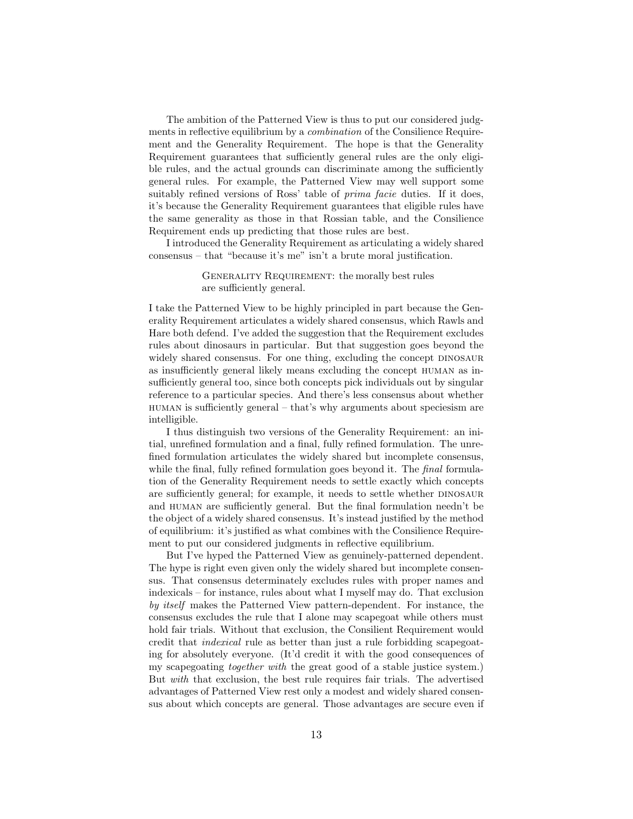The ambition of the Patterned View is thus to put our considered judgments in reflective equilibrium by a *combination* of the Consilience Requirement and the Generality Requirement. The hope is that the Generality Requirement guarantees that sufficiently general rules are the only eligible rules, and the actual grounds can discriminate among the sufficiently general rules. For example, the Patterned View may well support some suitably refined versions of Ross' table of *prima facie* duties. If it does, it's because the Generality Requirement guarantees that eligible rules have the same generality as those in that Rossian table, and the Consilience Requirement ends up predicting that those rules are best.

I introduced the Generality Requirement as articulating a widely shared consensus – that "because it's me" isn't a brute moral justification.

# GENERALITY REQUIREMENT: the morally best rules are sufficiently general.

I take the Patterned View to be highly principled in part because the Generality Requirement articulates a widely shared consensus, which Rawls and Hare both defend. I've added the suggestion that the Requirement excludes rules about dinosaurs in particular. But that suggestion goes beyond the widely shared consensus. For one thing, excluding the concept DINOSAUR as insufficiently general likely means excluding the concept human as insufficiently general too, since both concepts pick individuals out by singular reference to a particular species. And there's less consensus about whether human is sufficiently general – that's why arguments about speciesism are intelligible.

I thus distinguish two versions of the Generality Requirement: an initial, unrefined formulation and a final, fully refined formulation. The unrefined formulation articulates the widely shared but incomplete consensus, while the final, fully refined formulation goes beyond it. The *final* formulation of the Generality Requirement needs to settle exactly which concepts are sufficiently general; for example, it needs to settle whether DINOSAUR and human are sufficiently general. But the final formulation needn't be the object of a widely shared consensus. It's instead justified by the method of equilibrium: it's justified as what combines with the Consilience Requirement to put our considered judgments in reflective equilibrium.

But I've hyped the Patterned View as genuinely-patterned dependent. The hype is right even given only the widely shared but incomplete consensus. That consensus determinately excludes rules with proper names and indexicals – for instance, rules about what I myself may do. That exclusion by itself makes the Patterned View pattern-dependent. For instance, the consensus excludes the rule that I alone may scapegoat while others must hold fair trials. Without that exclusion, the Consilient Requirement would credit that indexical rule as better than just a rule forbidding scapegoating for absolutely everyone. (It'd credit it with the good consequences of my scapegoating together with the great good of a stable justice system.) But with that exclusion, the best rule requires fair trials. The advertised advantages of Patterned View rest only a modest and widely shared consensus about which concepts are general. Those advantages are secure even if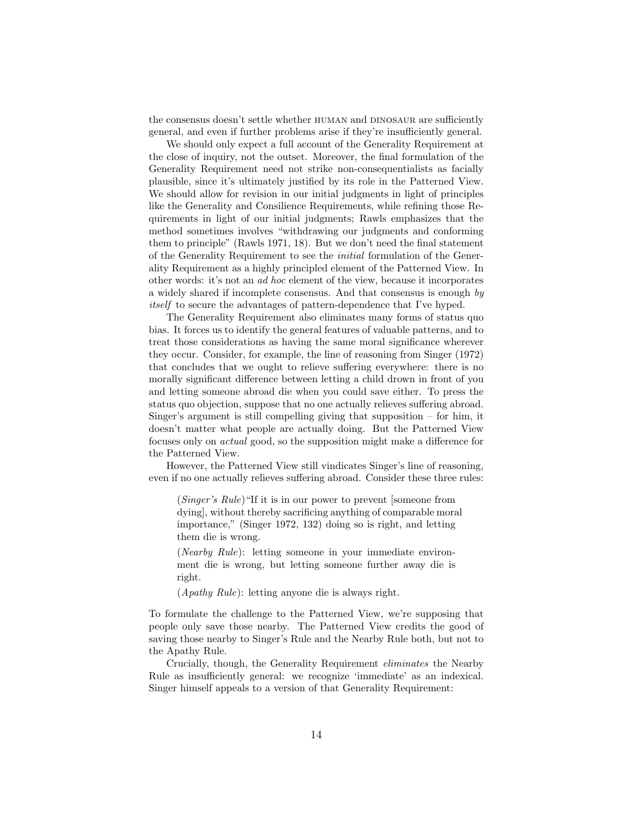the consensus doesn't settle whether HUMAN and DINOSAUR are sufficiently general, and even if further problems arise if they're insufficiently general.

We should only expect a full account of the Generality Requirement at the close of inquiry, not the outset. Moreover, the final formulation of the Generality Requirement need not strike non-consequentialists as facially plausible, since it's ultimately justified by its role in the Patterned View. We should allow for revision in our initial judgments in light of principles like the Generality and Consilience Requirements, while refining those Requirements in light of our initial judgments; Rawls emphasizes that the method sometimes involves "withdrawing our judgments and conforming them to principle" (Rawls 1971, 18). But we don't need the final statement of the Generality Requirement to see the initial formulation of the Generality Requirement as a highly principled element of the Patterned View. In other words: it's not an ad hoc element of the view, because it incorporates a widely shared if incomplete consensus. And that consensus is enough by itself to secure the advantages of pattern-dependence that I've hyped.

The Generality Requirement also eliminates many forms of status quo bias. It forces us to identify the general features of valuable patterns, and to treat those considerations as having the same moral significance wherever they occur. Consider, for example, the line of reasoning from Singer (1972) that concludes that we ought to relieve suffering everywhere: there is no morally significant difference between letting a child drown in front of you and letting someone abroad die when you could save either. To press the status quo objection, suppose that no one actually relieves suffering abroad. Singer's argument is still compelling giving that supposition – for him, it doesn't matter what people are actually doing. But the Patterned View focuses only on actual good, so the supposition might make a difference for the Patterned View.

However, the Patterned View still vindicates Singer's line of reasoning, even if no one actually relieves suffering abroad. Consider these three rules:

(Singer's Rule)"If it is in our power to prevent [someone from dying], without thereby sacrificing anything of comparable moral importance," (Singer 1972, 132) doing so is right, and letting them die is wrong.

(Nearby Rule): letting someone in your immediate environment die is wrong, but letting someone further away die is right.

(Apathy Rule): letting anyone die is always right.

To formulate the challenge to the Patterned View, we're supposing that people only save those nearby. The Patterned View credits the good of saving those nearby to Singer's Rule and the Nearby Rule both, but not to the Apathy Rule.

Crucially, though, the Generality Requirement eliminates the Nearby Rule as insufficiently general: we recognize 'immediate' as an indexical. Singer himself appeals to a version of that Generality Requirement: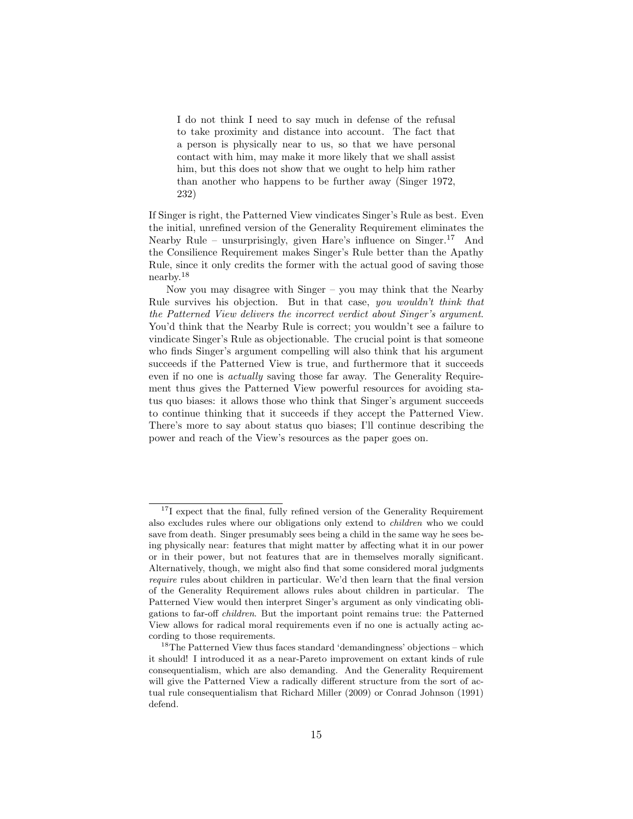I do not think I need to say much in defense of the refusal to take proximity and distance into account. The fact that a person is physically near to us, so that we have personal contact with him, may make it more likely that we shall assist him, but this does not show that we ought to help him rather than another who happens to be further away (Singer 1972, 232)

If Singer is right, the Patterned View vindicates Singer's Rule as best. Even the initial, unrefined version of the Generality Requirement eliminates the Nearby Rule – unsurprisingly, given Hare's influence on  $Singer<sup>17</sup>$  And the Consilience Requirement makes Singer's Rule better than the Apathy Rule, since it only credits the former with the actual good of saving those nearby.<sup>18</sup>

Now you may disagree with Singer – you may think that the Nearby Rule survives his objection. But in that case, you wouldn't think that the Patterned View delivers the incorrect verdict about Singer's argument. You'd think that the Nearby Rule is correct; you wouldn't see a failure to vindicate Singer's Rule as objectionable. The crucial point is that someone who finds Singer's argument compelling will also think that his argument succeeds if the Patterned View is true, and furthermore that it succeeds even if no one is actually saving those far away. The Generality Requirement thus gives the Patterned View powerful resources for avoiding status quo biases: it allows those who think that Singer's argument succeeds to continue thinking that it succeeds if they accept the Patterned View. There's more to say about status quo biases; I'll continue describing the power and reach of the View's resources as the paper goes on.

<sup>&</sup>lt;sup>17</sup>I expect that the final, fully refined version of the Generality Requirement also excludes rules where our obligations only extend to children who we could save from death. Singer presumably sees being a child in the same way he sees being physically near: features that might matter by affecting what it in our power or in their power, but not features that are in themselves morally significant. Alternatively, though, we might also find that some considered moral judgments require rules about children in particular. We'd then learn that the final version of the Generality Requirement allows rules about children in particular. The Patterned View would then interpret Singer's argument as only vindicating obligations to far-off children. But the important point remains true: the Patterned View allows for radical moral requirements even if no one is actually acting according to those requirements.

<sup>&</sup>lt;sup>18</sup>The Patterned View thus faces standard 'demandingness' objections – which it should! I introduced it as a near-Pareto improvement on extant kinds of rule consequentialism, which are also demanding. And the Generality Requirement will give the Patterned View a radically different structure from the sort of actual rule consequentialism that Richard Miller (2009) or Conrad Johnson (1991) defend.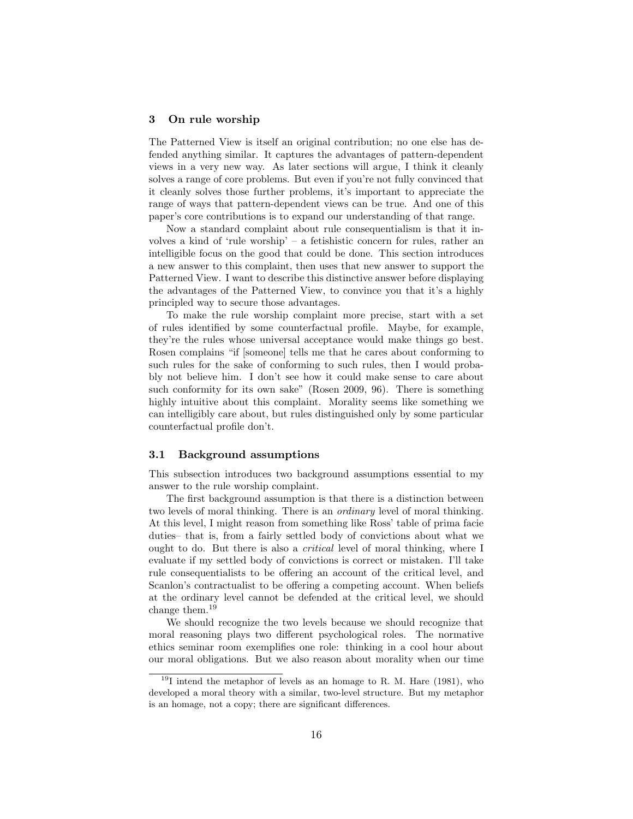#### 3 On rule worship

The Patterned View is itself an original contribution; no one else has defended anything similar. It captures the advantages of pattern-dependent views in a very new way. As later sections will argue, I think it cleanly solves a range of core problems. But even if you're not fully convinced that it cleanly solves those further problems, it's important to appreciate the range of ways that pattern-dependent views can be true. And one of this paper's core contributions is to expand our understanding of that range.

Now a standard complaint about rule consequentialism is that it involves a kind of 'rule worship' – a fetishistic concern for rules, rather an intelligible focus on the good that could be done. This section introduces a new answer to this complaint, then uses that new answer to support the Patterned View. I want to describe this distinctive answer before displaying the advantages of the Patterned View, to convince you that it's a highly principled way to secure those advantages.

To make the rule worship complaint more precise, start with a set of rules identified by some counterfactual profile. Maybe, for example, they're the rules whose universal acceptance would make things go best. Rosen complains "if [someone] tells me that he cares about conforming to such rules for the sake of conforming to such rules, then I would probably not believe him. I don't see how it could make sense to care about such conformity for its own sake" (Rosen 2009, 96). There is something highly intuitive about this complaint. Morality seems like something we can intelligibly care about, but rules distinguished only by some particular counterfactual profile don't.

#### 3.1 Background assumptions

This subsection introduces two background assumptions essential to my answer to the rule worship complaint.

The first background assumption is that there is a distinction between two levels of moral thinking. There is an ordinary level of moral thinking. At this level, I might reason from something like Ross' table of prima facie duties– that is, from a fairly settled body of convictions about what we ought to do. But there is also a *critical* level of moral thinking, where I evaluate if my settled body of convictions is correct or mistaken. I'll take rule consequentialists to be offering an account of the critical level, and Scanlon's contractualist to be offering a competing account. When beliefs at the ordinary level cannot be defended at the critical level, we should change them.<sup>19</sup>

We should recognize the two levels because we should recognize that moral reasoning plays two different psychological roles. The normative ethics seminar room exemplifies one role: thinking in a cool hour about our moral obligations. But we also reason about morality when our time

 $19$ I intend the metaphor of levels as an homage to R. M. Hare (1981), who developed a moral theory with a similar, two-level structure. But my metaphor is an homage, not a copy; there are significant differences.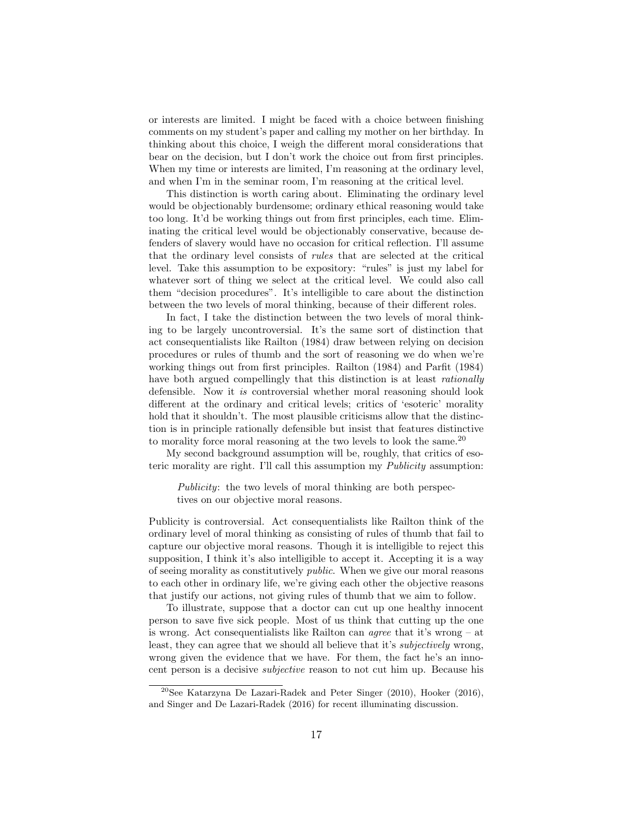or interests are limited. I might be faced with a choice between finishing comments on my student's paper and calling my mother on her birthday. In thinking about this choice, I weigh the different moral considerations that bear on the decision, but I don't work the choice out from first principles. When my time or interests are limited, I'm reasoning at the ordinary level, and when I'm in the seminar room, I'm reasoning at the critical level.

This distinction is worth caring about. Eliminating the ordinary level would be objectionably burdensome; ordinary ethical reasoning would take too long. It'd be working things out from first principles, each time. Eliminating the critical level would be objectionably conservative, because defenders of slavery would have no occasion for critical reflection. I'll assume that the ordinary level consists of rules that are selected at the critical level. Take this assumption to be expository: "rules" is just my label for whatever sort of thing we select at the critical level. We could also call them "decision procedures". It's intelligible to care about the distinction between the two levels of moral thinking, because of their different roles.

In fact, I take the distinction between the two levels of moral thinking to be largely uncontroversial. It's the same sort of distinction that act consequentialists like Railton (1984) draw between relying on decision procedures or rules of thumb and the sort of reasoning we do when we're working things out from first principles. Railton (1984) and Parfit (1984) have both argued compellingly that this distinction is at least *rationally* defensible. Now it is controversial whether moral reasoning should look different at the ordinary and critical levels; critics of 'esoteric' morality hold that it shouldn't. The most plausible criticisms allow that the distinction is in principle rationally defensible but insist that features distinctive to morality force moral reasoning at the two levels to look the same.<sup>20</sup>

My second background assumption will be, roughly, that critics of esoteric morality are right. I'll call this assumption my Publicity assumption:

Publicity: the two levels of moral thinking are both perspectives on our objective moral reasons.

Publicity is controversial. Act consequentialists like Railton think of the ordinary level of moral thinking as consisting of rules of thumb that fail to capture our objective moral reasons. Though it is intelligible to reject this supposition, I think it's also intelligible to accept it. Accepting it is a way of seeing morality as constitutively public. When we give our moral reasons to each other in ordinary life, we're giving each other the objective reasons that justify our actions, not giving rules of thumb that we aim to follow.

To illustrate, suppose that a doctor can cut up one healthy innocent person to save five sick people. Most of us think that cutting up the one is wrong. Act consequentialists like Railton can agree that it's wrong – at least, they can agree that we should all believe that it's subjectively wrong, wrong given the evidence that we have. For them, the fact he's an innocent person is a decisive subjective reason to not cut him up. Because his

<sup>20</sup>See Katarzyna De Lazari-Radek and Peter Singer (2010), Hooker (2016), and Singer and De Lazari-Radek (2016) for recent illuminating discussion.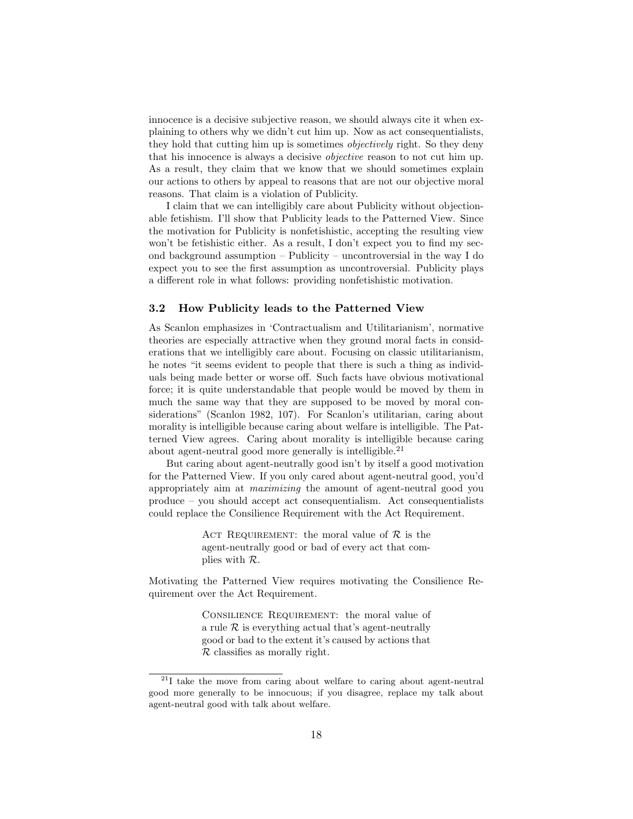innocence is a decisive subjective reason, we should always cite it when explaining to others why we didn't cut him up. Now as act consequentialists, they hold that cutting him up is sometimes *objectively* right. So they deny that his innocence is always a decisive objective reason to not cut him up. As a result, they claim that we know that we should sometimes explain our actions to others by appeal to reasons that are not our objective moral reasons. That claim is a violation of Publicity.

I claim that we can intelligibly care about Publicity without objectionable fetishism. I'll show that Publicity leads to the Patterned View. Since the motivation for Publicity is nonfetishistic, accepting the resulting view won't be fetishistic either. As a result, I don't expect you to find my second background assumption – Publicity – uncontroversial in the way I do expect you to see the first assumption as uncontroversial. Publicity plays a different role in what follows: providing nonfetishistic motivation.

#### 3.2 How Publicity leads to the Patterned View

As Scanlon emphasizes in 'Contractualism and Utilitarianism', normative theories are especially attractive when they ground moral facts in considerations that we intelligibly care about. Focusing on classic utilitarianism, he notes "it seems evident to people that there is such a thing as individuals being made better or worse off. Such facts have obvious motivational force; it is quite understandable that people would be moved by them in much the same way that they are supposed to be moved by moral considerations" (Scanlon 1982, 107). For Scanlon's utilitarian, caring about morality is intelligible because caring about welfare is intelligible. The Patterned View agrees. Caring about morality is intelligible because caring about agent-neutral good more generally is intelligible.<sup>21</sup>

But caring about agent-neutrally good isn't by itself a good motivation for the Patterned View. If you only cared about agent-neutral good, you'd appropriately aim at maximizing the amount of agent-neutral good you produce – you should accept act consequentialism. Act consequentialists could replace the Consilience Requirement with the Act Requirement.

> ACT REQUIREMENT: the moral value of  $\mathcal R$  is the agent-neutrally good or bad of every act that complies with R.

Motivating the Patterned View requires motivating the Consilience Requirement over the Act Requirement.

> CONSILIENCE REQUIREMENT: the moral value of a rule  $\mathcal R$  is everything actual that's agent-neutrally good or bad to the extent it's caused by actions that  $\mathcal R$  classifies as morally right.

 $^{21}$ I take the move from caring about welfare to caring about agent-neutral good more generally to be innocuous; if you disagree, replace my talk about agent-neutral good with talk about welfare.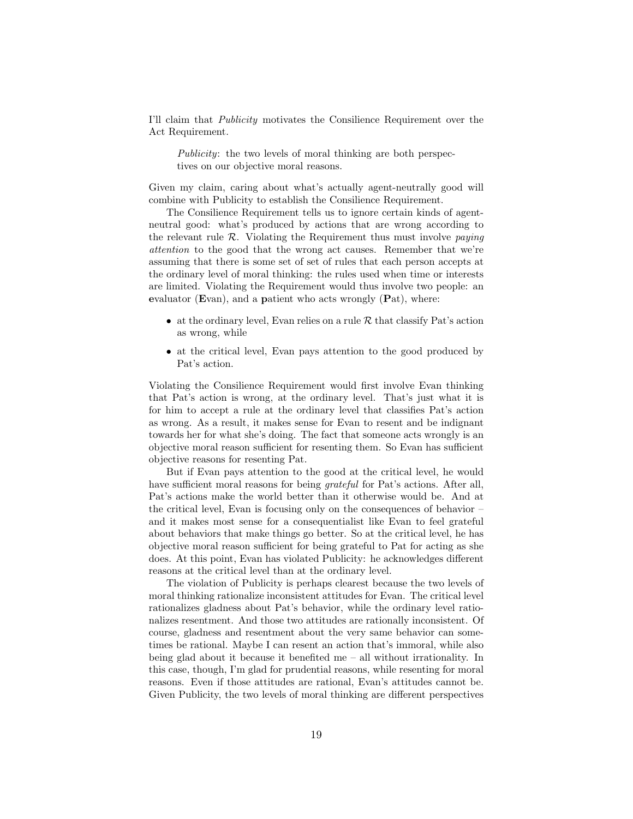I'll claim that Publicity motivates the Consilience Requirement over the Act Requirement.

Publicity: the two levels of moral thinking are both perspectives on our objective moral reasons.

Given my claim, caring about what's actually agent-neutrally good will combine with Publicity to establish the Consilience Requirement.

The Consilience Requirement tells us to ignore certain kinds of agentneutral good: what's produced by actions that are wrong according to the relevant rule  $R$ . Violating the Requirement thus must involve *paying* attention to the good that the wrong act causes. Remember that we're assuming that there is some set of set of rules that each person accepts at the ordinary level of moral thinking: the rules used when time or interests are limited. Violating the Requirement would thus involve two people: an evaluator (Evan), and a patient who acts wrongly  $(Pat)$ , where:

- at the ordinary level, Evan relies on a rule  $\mathcal R$  that classify Pat's action as wrong, while
- at the critical level, Evan pays attention to the good produced by Pat's action.

Violating the Consilience Requirement would first involve Evan thinking that Pat's action is wrong, at the ordinary level. That's just what it is for him to accept a rule at the ordinary level that classifies Pat's action as wrong. As a result, it makes sense for Evan to resent and be indignant towards her for what she's doing. The fact that someone acts wrongly is an objective moral reason sufficient for resenting them. So Evan has sufficient objective reasons for resenting Pat.

But if Evan pays attention to the good at the critical level, he would have sufficient moral reasons for being *grateful* for Pat's actions. After all, Pat's actions make the world better than it otherwise would be. And at the critical level, Evan is focusing only on the consequences of behavior – and it makes most sense for a consequentialist like Evan to feel grateful about behaviors that make things go better. So at the critical level, he has objective moral reason sufficient for being grateful to Pat for acting as she does. At this point, Evan has violated Publicity: he acknowledges different reasons at the critical level than at the ordinary level.

The violation of Publicity is perhaps clearest because the two levels of moral thinking rationalize inconsistent attitudes for Evan. The critical level rationalizes gladness about Pat's behavior, while the ordinary level rationalizes resentment. And those two attitudes are rationally inconsistent. Of course, gladness and resentment about the very same behavior can sometimes be rational. Maybe I can resent an action that's immoral, while also being glad about it because it benefited me – all without irrationality. In this case, though, I'm glad for prudential reasons, while resenting for moral reasons. Even if those attitudes are rational, Evan's attitudes cannot be. Given Publicity, the two levels of moral thinking are different perspectives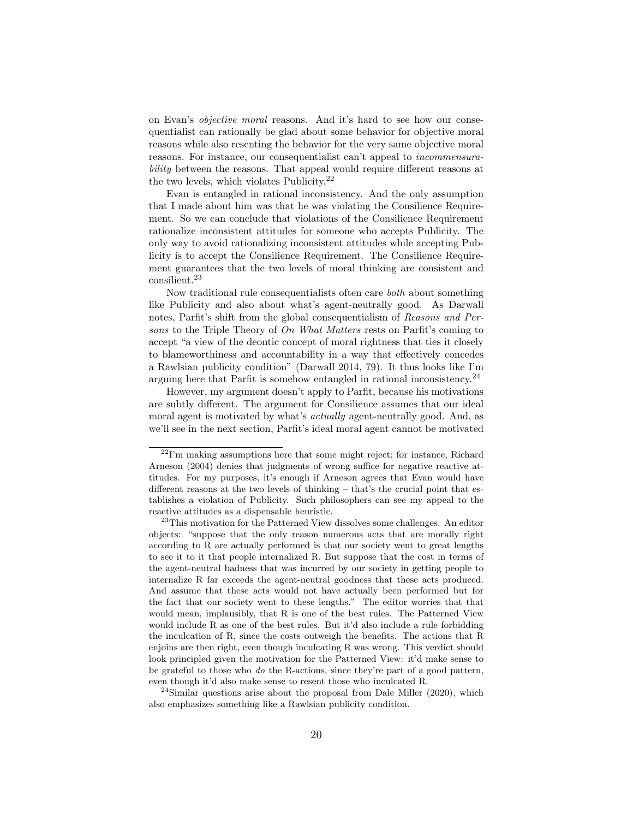on Evan's objective moral reasons. And it's hard to see how our consequentialist can rationally be glad about some behavior for objective moral reasons while also resenting the behavior for the very same objective moral reasons. For instance, our consequentialist can't appeal to incommensurability between the reasons. That appeal would require different reasons at the two levels, which violates Publicity.<sup>22</sup>

Evan is entangled in rational inconsistency. And the only assumption that I made about him was that he was violating the Consilience Requirement. So we can conclude that violations of the Consilience Requirement rationalize inconsistent attitudes for someone who accepts Publicity. The only way to avoid rationalizing inconsistent attitudes while accepting Publicity is to accept the Consilience Requirement. The Consilience Requirement guarantees that the two levels of moral thinking are consistent and consilient.<sup>23</sup>

Now traditional rule consequentialists often care both about something like Publicity and also about what's agent-neutrally good. As Darwall notes, Parfit's shift from the global consequentialism of Reasons and Persons to the Triple Theory of On What Matters rests on Parfit's coming to accept "a view of the deontic concept of moral rightness that ties it closely to blameworthiness and accountability in a way that effectively concedes a Rawlsian publicity condition" (Darwall 2014, 79). It thus looks like I'm arguing here that Parfit is somehow entangled in rational inconsistency.<sup>24</sup>

However, my argument doesn't apply to Parfit, because his motivations are subtly different. The argument for Consilience assumes that our ideal moral agent is motivated by what's *actually* agent-neutrally good. And, as we'll see in the next section, Parfit's ideal moral agent cannot be motivated

 $24$ Similar questions arise about the proposal from Dale Miller (2020), which also emphasizes something like a Rawlsian publicity condition.

 $22$ I'm making assumptions here that some might reject; for instance, Richard Arneson (2004) denies that judgments of wrong suffice for negative reactive attitudes. For my purposes, it's enough if Arneson agrees that Evan would have different reasons at the two levels of thinking – that's the crucial point that establishes a violation of Publicity. Such philosophers can see my appeal to the reactive attitudes as a dispensable heuristic.

<sup>&</sup>lt;sup>23</sup>This motivation for the Patterned View dissolves some challenges. An editor objects: "suppose that the only reason numerous acts that are morally right according to R are actually performed is that our society went to great lengths to see it to it that people internalized R. But suppose that the cost in terms of the agent-neutral badness that was incurred by our society in getting people to internalize R far exceeds the agent-neutral goodness that these acts produced. And assume that these acts would not have actually been performed but for the fact that our society went to these lengths." The editor worries that that would mean, implausibly, that R is one of the best rules. The Patterned View would include R as one of the best rules. But it'd also include a rule forbidding the inculcation of R, since the costs outweigh the benefits. The actions that R enjoins are then right, even though inculcating R was wrong. This verdict should look principled given the motivation for the Patterned View: it'd make sense to be grateful to those who do the R-actions, since they're part of a good pattern, even though it'd also make sense to resent those who inculcated R.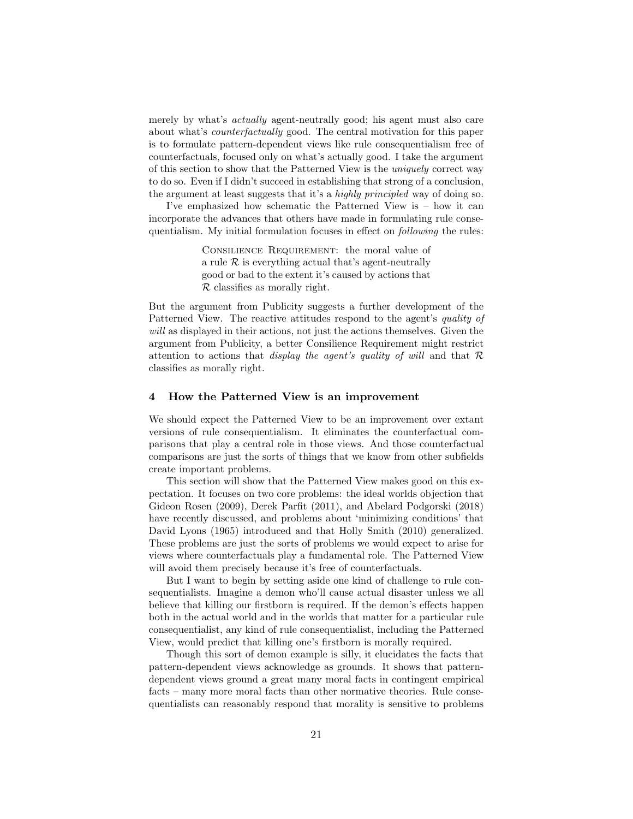merely by what's actually agent-neutrally good; his agent must also care about what's counterfactually good. The central motivation for this paper is to formulate pattern-dependent views like rule consequentialism free of counterfactuals, focused only on what's actually good. I take the argument of this section to show that the Patterned View is the uniquely correct way to do so. Even if I didn't succeed in establishing that strong of a conclusion, the argument at least suggests that it's a highly principled way of doing so.

I've emphasized how schematic the Patterned View is – how it can incorporate the advances that others have made in formulating rule consequentialism. My initial formulation focuses in effect on following the rules:

> Consilience Requirement: the moral value of a rule  $\mathcal R$  is everything actual that's agent-neutrally good or bad to the extent it's caused by actions that R classifies as morally right.

But the argument from Publicity suggests a further development of the Patterned View. The reactive attitudes respond to the agent's quality of will as displayed in their actions, not just the actions themselves. Given the argument from Publicity, a better Consilience Requirement might restrict attention to actions that *display the agent's quality of will* and that  $\mathcal{R}$ classifies as morally right.

#### 4 How the Patterned View is an improvement

We should expect the Patterned View to be an improvement over extant versions of rule consequentialism. It eliminates the counterfactual comparisons that play a central role in those views. And those counterfactual comparisons are just the sorts of things that we know from other subfields create important problems.

This section will show that the Patterned View makes good on this expectation. It focuses on two core problems: the ideal worlds objection that Gideon Rosen (2009), Derek Parfit (2011), and Abelard Podgorski (2018) have recently discussed, and problems about 'minimizing conditions' that David Lyons (1965) introduced and that Holly Smith (2010) generalized. These problems are just the sorts of problems we would expect to arise for views where counterfactuals play a fundamental role. The Patterned View will avoid them precisely because it's free of counterfactuals.

But I want to begin by setting aside one kind of challenge to rule consequentialists. Imagine a demon who'll cause actual disaster unless we all believe that killing our firstborn is required. If the demon's effects happen both in the actual world and in the worlds that matter for a particular rule consequentialist, any kind of rule consequentialist, including the Patterned View, would predict that killing one's firstborn is morally required.

Though this sort of demon example is silly, it elucidates the facts that pattern-dependent views acknowledge as grounds. It shows that patterndependent views ground a great many moral facts in contingent empirical facts – many more moral facts than other normative theories. Rule consequentialists can reasonably respond that morality is sensitive to problems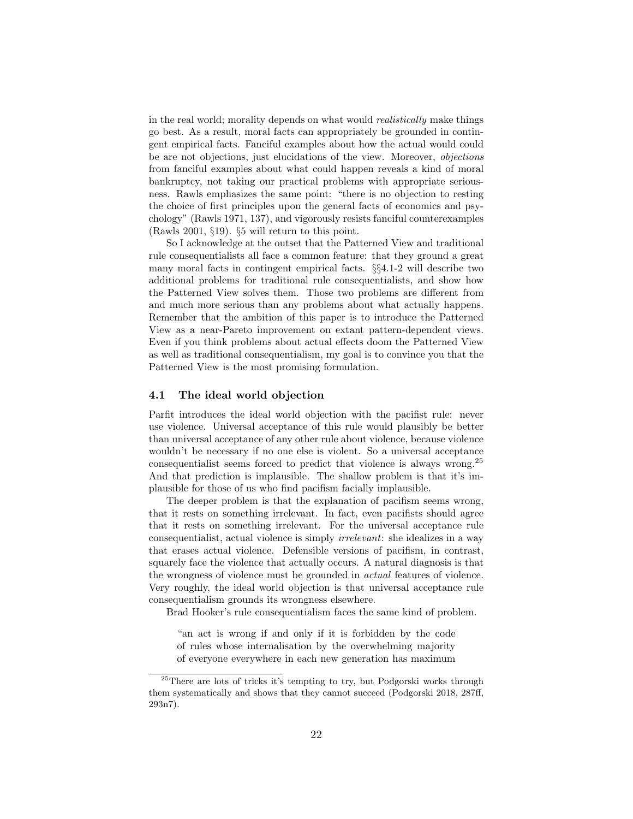in the real world; morality depends on what would *realistically* make things go best. As a result, moral facts can appropriately be grounded in contingent empirical facts. Fanciful examples about how the actual would could be are not objections, just elucidations of the view. Moreover, objections from fanciful examples about what could happen reveals a kind of moral bankruptcy, not taking our practical problems with appropriate seriousness. Rawls emphasizes the same point: "there is no objection to resting the choice of first principles upon the general facts of economics and psychology" (Rawls 1971, 137), and vigorously resists fanciful counterexamples (Rawls 2001, §19). §5 will return to this point.

So I acknowledge at the outset that the Patterned View and traditional rule consequentialists all face a common feature: that they ground a great many moral facts in contingent empirical facts. §§4.1-2 will describe two additional problems for traditional rule consequentialists, and show how the Patterned View solves them. Those two problems are different from and much more serious than any problems about what actually happens. Remember that the ambition of this paper is to introduce the Patterned View as a near-Pareto improvement on extant pattern-dependent views. Even if you think problems about actual effects doom the Patterned View as well as traditional consequentialism, my goal is to convince you that the Patterned View is the most promising formulation.

#### 4.1 The ideal world objection

Parfit introduces the ideal world objection with the pacifist rule: never use violence. Universal acceptance of this rule would plausibly be better than universal acceptance of any other rule about violence, because violence wouldn't be necessary if no one else is violent. So a universal acceptance consequentialist seems forced to predict that violence is always wrong.<sup>25</sup> And that prediction is implausible. The shallow problem is that it's implausible for those of us who find pacifism facially implausible.

The deeper problem is that the explanation of pacifism seems wrong, that it rests on something irrelevant. In fact, even pacifists should agree that it rests on something irrelevant. For the universal acceptance rule consequentialist, actual violence is simply irrelevant: she idealizes in a way that erases actual violence. Defensible versions of pacifism, in contrast, squarely face the violence that actually occurs. A natural diagnosis is that the wrongness of violence must be grounded in actual features of violence. Very roughly, the ideal world objection is that universal acceptance rule consequentialism grounds its wrongness elsewhere.

Brad Hooker's rule consequentialism faces the same kind of problem.

"an act is wrong if and only if it is forbidden by the code of rules whose internalisation by the overwhelming majority of everyone everywhere in each new generation has maximum

 $^{25}$ There are lots of tricks it's tempting to try, but Podgorski works through them systematically and shows that they cannot succeed (Podgorski 2018, 287ff, 293n7).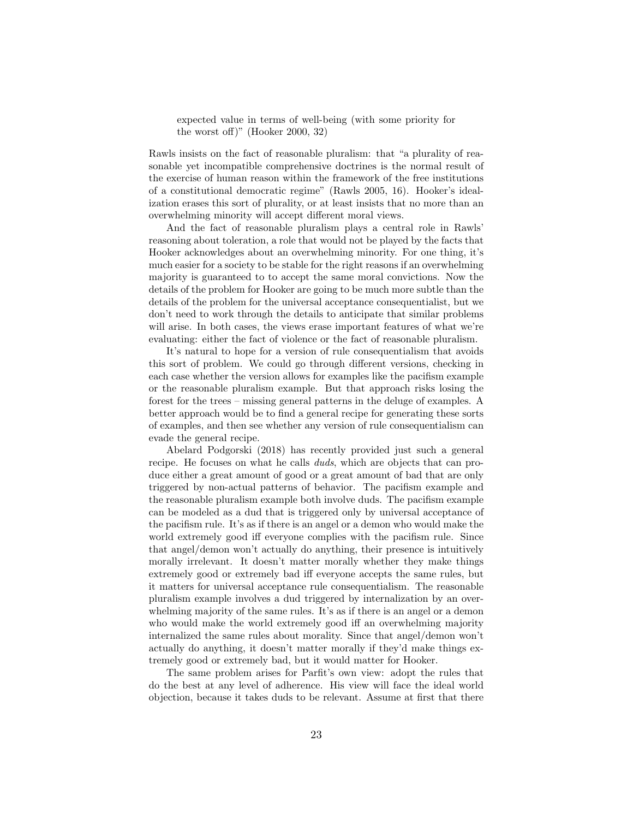expected value in terms of well-being (with some priority for the worst off)" (Hooker 2000, 32)

Rawls insists on the fact of reasonable pluralism: that "a plurality of reasonable yet incompatible comprehensive doctrines is the normal result of the exercise of human reason within the framework of the free institutions of a constitutional democratic regime" (Rawls 2005, 16). Hooker's idealization erases this sort of plurality, or at least insists that no more than an overwhelming minority will accept different moral views.

And the fact of reasonable pluralism plays a central role in Rawls' reasoning about toleration, a role that would not be played by the facts that Hooker acknowledges about an overwhelming minority. For one thing, it's much easier for a society to be stable for the right reasons if an overwhelming majority is guaranteed to to accept the same moral convictions. Now the details of the problem for Hooker are going to be much more subtle than the details of the problem for the universal acceptance consequentialist, but we don't need to work through the details to anticipate that similar problems will arise. In both cases, the views erase important features of what we're evaluating: either the fact of violence or the fact of reasonable pluralism.

It's natural to hope for a version of rule consequentialism that avoids this sort of problem. We could go through different versions, checking in each case whether the version allows for examples like the pacifism example or the reasonable pluralism example. But that approach risks losing the forest for the trees – missing general patterns in the deluge of examples. A better approach would be to find a general recipe for generating these sorts of examples, and then see whether any version of rule consequentialism can evade the general recipe.

Abelard Podgorski (2018) has recently provided just such a general recipe. He focuses on what he calls *duds*, which are objects that can produce either a great amount of good or a great amount of bad that are only triggered by non-actual patterns of behavior. The pacifism example and the reasonable pluralism example both involve duds. The pacifism example can be modeled as a dud that is triggered only by universal acceptance of the pacifism rule. It's as if there is an angel or a demon who would make the world extremely good iff everyone complies with the pacifism rule. Since that angel/demon won't actually do anything, their presence is intuitively morally irrelevant. It doesn't matter morally whether they make things extremely good or extremely bad iff everyone accepts the same rules, but it matters for universal acceptance rule consequentialism. The reasonable pluralism example involves a dud triggered by internalization by an overwhelming majority of the same rules. It's as if there is an angel or a demon who would make the world extremely good iff an overwhelming majority internalized the same rules about morality. Since that angel/demon won't actually do anything, it doesn't matter morally if they'd make things extremely good or extremely bad, but it would matter for Hooker.

The same problem arises for Parfit's own view: adopt the rules that do the best at any level of adherence. His view will face the ideal world objection, because it takes duds to be relevant. Assume at first that there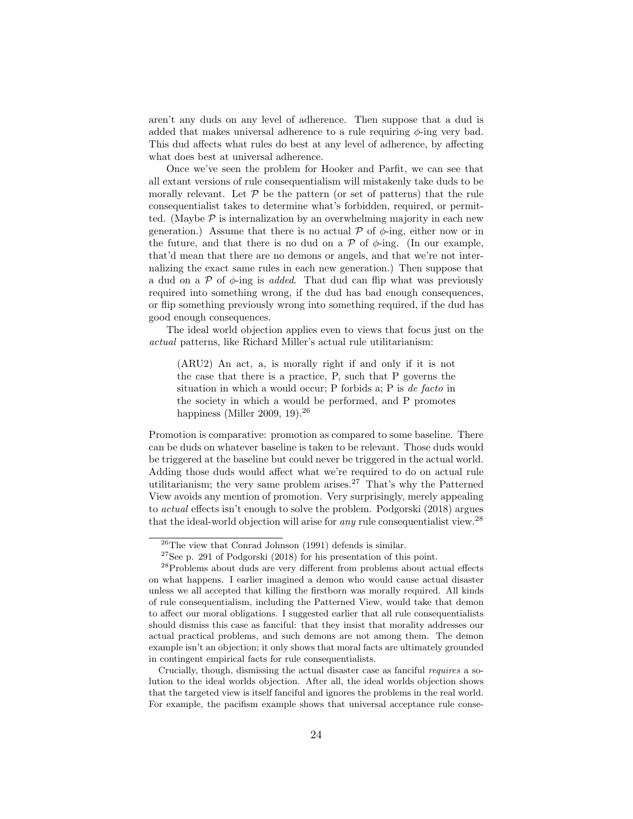aren't any duds on any level of adherence. Then suppose that a dud is added that makes universal adherence to a rule requiring  $\phi$ -ing very bad. This dud affects what rules do best at any level of adherence, by affecting what does best at universal adherence.

Once we've seen the problem for Hooker and Parfit, we can see that all extant versions of rule consequentialism will mistakenly take duds to be morally relevant. Let  $P$  be the pattern (or set of patterns) that the rule consequentialist takes to determine what's forbidden, required, or permitted. (Maybe  $\mathcal P$  is internalization by an overwhelming majority in each new generation.) Assume that there is no actual  $\mathcal P$  of  $\phi$ -ing, either now or in the future, and that there is no dud on a  $\mathcal P$  of  $\phi$ -ing. (In our example, that'd mean that there are no demons or angels, and that we're not internalizing the exact same rules in each new generation.) Then suppose that a dud on a  $\mathcal P$  of  $\phi$ -ing is *added*. That dud can flip what was previously required into something wrong, if the dud has bad enough consequences, or flip something previously wrong into something required, if the dud has good enough consequences.

The ideal world objection applies even to views that focus just on the actual patterns, like Richard Miller's actual rule utilitarianism:

(ARU2) An act, a, is morally right if and only if it is not the case that there is a practice, P, such that P governs the situation in which a would occur; P forbids a; P is de facto in the society in which a would be performed, and P promotes happiness (Miller 2009, 19).<sup>26</sup>

Promotion is comparative: promotion as compared to some baseline. There can be duds on whatever baseline is taken to be relevant. Those duds would be triggered at the baseline but could never be triggered in the actual world. Adding those duds would affect what we're required to do on actual rule utilitarianism; the very same problem arises.<sup>27</sup> That's why the Patterned View avoids any mention of promotion. Very surprisingly, merely appealing to actual effects isn't enough to solve the problem. Podgorski (2018) argues that the ideal-world objection will arise for *any* rule consequentialist view.<sup>28</sup>

 $26$ The view that Conrad Johnson (1991) defends is similar.

 $^{27}\mathrm{See}$  p. 291 of Podgorski (2018) for his presentation of this point.

<sup>&</sup>lt;sup>28</sup>Problems about duds are very different from problems about actual effects on what happens. I earlier imagined a demon who would cause actual disaster unless we all accepted that killing the firstborn was morally required. All kinds of rule consequentialism, including the Patterned View, would take that demon to affect our moral obligations. I suggested earlier that all rule consequentialists should dismiss this case as fanciful: that they insist that morality addresses our actual practical problems, and such demons are not among them. The demon example isn't an objection; it only shows that moral facts are ultimately grounded in contingent empirical facts for rule consequentialists.

Crucially, though, dismissing the actual disaster case as fanciful requires a solution to the ideal worlds objection. After all, the ideal worlds objection shows that the targeted view is itself fanciful and ignores the problems in the real world. For example, the pacifism example shows that universal acceptance rule conse-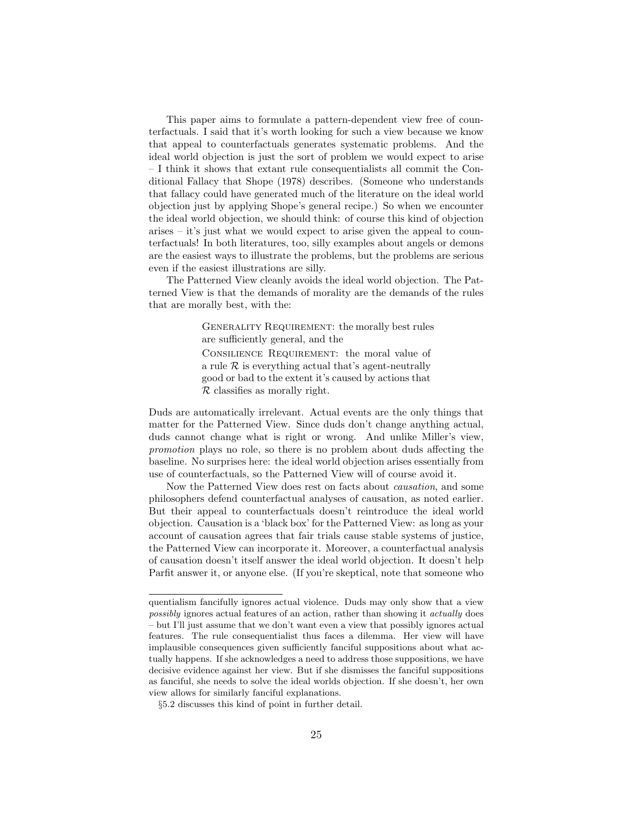This paper aims to formulate a pattern-dependent view free of counterfactuals. I said that it's worth looking for such a view because we know that appeal to counterfactuals generates systematic problems. And the ideal world objection is just the sort of problem we would expect to arise – I think it shows that extant rule consequentialists all commit the Conditional Fallacy that Shope (1978) describes. (Someone who understands that fallacy could have generated much of the literature on the ideal world objection just by applying Shope's general recipe.) So when we encounter the ideal world objection, we should think: of course this kind of objection arises – it's just what we would expect to arise given the appeal to counterfactuals! In both literatures, too, silly examples about angels or demons are the easiest ways to illustrate the problems, but the problems are serious even if the easiest illustrations are silly.

The Patterned View cleanly avoids the ideal world objection. The Patterned View is that the demands of morality are the demands of the rules that are morally best, with the:

> GENERALITY REQUIREMENT: the morally best rules are sufficiently general, and the Consilience Requirement: the moral value of a rule  $\mathcal R$  is everything actual that's agent-neutrally good or bad to the extent it's caused by actions that  $R$  classifies as morally right.

Duds are automatically irrelevant. Actual events are the only things that matter for the Patterned View. Since duds don't change anything actual, duds cannot change what is right or wrong. And unlike Miller's view, promotion plays no role, so there is no problem about duds affecting the baseline. No surprises here: the ideal world objection arises essentially from use of counterfactuals, so the Patterned View will of course avoid it.

Now the Patterned View does rest on facts about causation, and some philosophers defend counterfactual analyses of causation, as noted earlier. But their appeal to counterfactuals doesn't reintroduce the ideal world objection. Causation is a 'black box' for the Patterned View: as long as your account of causation agrees that fair trials cause stable systems of justice, the Patterned View can incorporate it. Moreover, a counterfactual analysis of causation doesn't itself answer the ideal world objection. It doesn't help Parfit answer it, or anyone else. (If you're skeptical, note that someone who

quentialism fancifully ignores actual violence. Duds may only show that a view possibly ignores actual features of an action, rather than showing it actually does – but I'll just assume that we don't want even a view that possibly ignores actual features. The rule consequentialist thus faces a dilemma. Her view will have implausible consequences given sufficiently fanciful suppositions about what actually happens. If she acknowledges a need to address those suppositions, we have decisive evidence against her view. But if she dismisses the fanciful suppositions as fanciful, she needs to solve the ideal worlds objection. If she doesn't, her own view allows for similarly fanciful explanations.

<sup>§</sup>5.2 discusses this kind of point in further detail.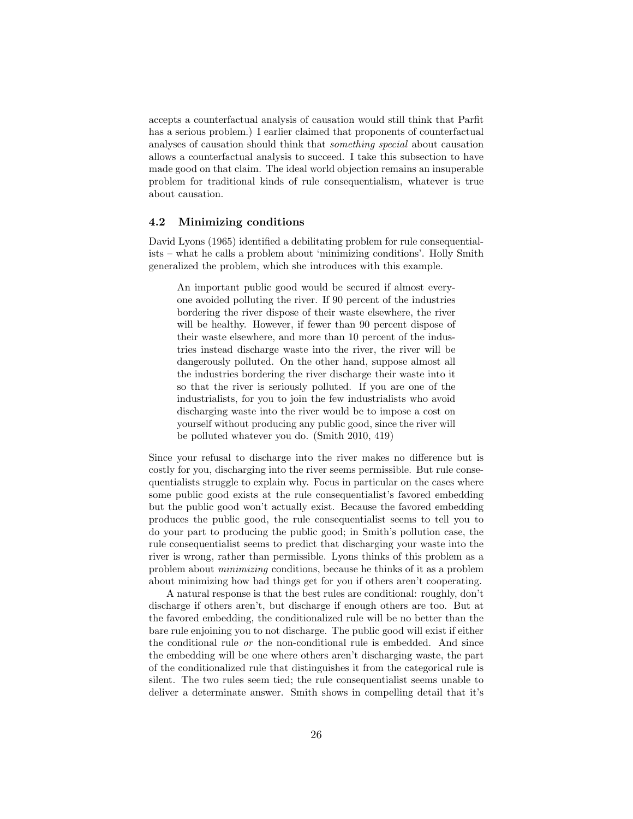accepts a counterfactual analysis of causation would still think that Parfit has a serious problem.) I earlier claimed that proponents of counterfactual analyses of causation should think that something special about causation allows a counterfactual analysis to succeed. I take this subsection to have made good on that claim. The ideal world objection remains an insuperable problem for traditional kinds of rule consequentialism, whatever is true about causation.

#### 4.2 Minimizing conditions

David Lyons (1965) identified a debilitating problem for rule consequentialists – what he calls a problem about 'minimizing conditions'. Holly Smith generalized the problem, which she introduces with this example.

An important public good would be secured if almost everyone avoided polluting the river. If 90 percent of the industries bordering the river dispose of their waste elsewhere, the river will be healthy. However, if fewer than 90 percent dispose of their waste elsewhere, and more than 10 percent of the industries instead discharge waste into the river, the river will be dangerously polluted. On the other hand, suppose almost all the industries bordering the river discharge their waste into it so that the river is seriously polluted. If you are one of the industrialists, for you to join the few industrialists who avoid discharging waste into the river would be to impose a cost on yourself without producing any public good, since the river will be polluted whatever you do. (Smith 2010, 419)

Since your refusal to discharge into the river makes no difference but is costly for you, discharging into the river seems permissible. But rule consequentialists struggle to explain why. Focus in particular on the cases where some public good exists at the rule consequentialist's favored embedding but the public good won't actually exist. Because the favored embedding produces the public good, the rule consequentialist seems to tell you to do your part to producing the public good; in Smith's pollution case, the rule consequentialist seems to predict that discharging your waste into the river is wrong, rather than permissible. Lyons thinks of this problem as a problem about minimizing conditions, because he thinks of it as a problem about minimizing how bad things get for you if others aren't cooperating.

A natural response is that the best rules are conditional: roughly, don't discharge if others aren't, but discharge if enough others are too. But at the favored embedding, the conditionalized rule will be no better than the bare rule enjoining you to not discharge. The public good will exist if either the conditional rule or the non-conditional rule is embedded. And since the embedding will be one where others aren't discharging waste, the part of the conditionalized rule that distinguishes it from the categorical rule is silent. The two rules seem tied; the rule consequentialist seems unable to deliver a determinate answer. Smith shows in compelling detail that it's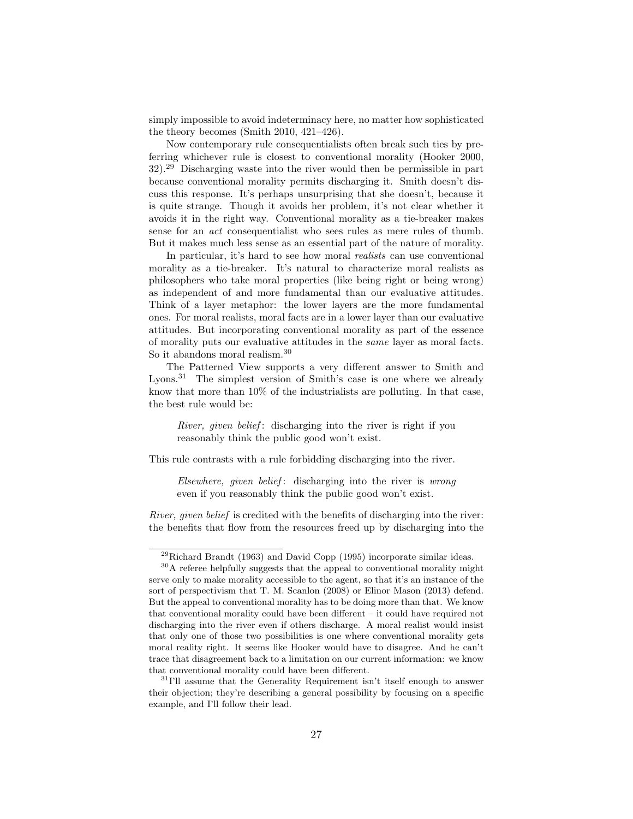simply impossible to avoid indeterminacy here, no matter how sophisticated the theory becomes (Smith 2010, 421–426).

Now contemporary rule consequentialists often break such ties by preferring whichever rule is closest to conventional morality (Hooker 2000, 32).<sup>29</sup> Discharging waste into the river would then be permissible in part because conventional morality permits discharging it. Smith doesn't discuss this response. It's perhaps unsurprising that she doesn't, because it is quite strange. Though it avoids her problem, it's not clear whether it avoids it in the right way. Conventional morality as a tie-breaker makes sense for an act consequentialist who sees rules as mere rules of thumb. But it makes much less sense as an essential part of the nature of morality.

In particular, it's hard to see how moral *realists* can use conventional morality as a tie-breaker. It's natural to characterize moral realists as philosophers who take moral properties (like being right or being wrong) as independent of and more fundamental than our evaluative attitudes. Think of a layer metaphor: the lower layers are the more fundamental ones. For moral realists, moral facts are in a lower layer than our evaluative attitudes. But incorporating conventional morality as part of the essence of morality puts our evaluative attitudes in the same layer as moral facts. So it abandons moral realism.<sup>30</sup>

The Patterned View supports a very different answer to Smith and Lyons.<sup>31</sup> The simplest version of Smith's case is one where we already know that more than 10% of the industrialists are polluting. In that case, the best rule would be:

River, given belief: discharging into the river is right if you reasonably think the public good won't exist.

This rule contrasts with a rule forbidding discharging into the river.

Elsewhere, given belief: discharging into the river is wrong even if you reasonably think the public good won't exist.

River, given belief is credited with the benefits of discharging into the river: the benefits that flow from the resources freed up by discharging into the

 $^{29}$ Richard Brandt (1963) and David Copp (1995) incorporate similar ideas.

<sup>&</sup>lt;sup>30</sup>A referee helpfully suggests that the appeal to conventional morality might serve only to make morality accessible to the agent, so that it's an instance of the sort of perspectivism that T. M. Scanlon (2008) or Elinor Mason (2013) defend. But the appeal to conventional morality has to be doing more than that. We know that conventional morality could have been different – it could have required not discharging into the river even if others discharge. A moral realist would insist that only one of those two possibilities is one where conventional morality gets moral reality right. It seems like Hooker would have to disagree. And he can't trace that disagreement back to a limitation on our current information: we know that conventional morality could have been different.

 $31$ <sup>I'll</sup> assume that the Generality Requirement isn't itself enough to answer their objection; they're describing a general possibility by focusing on a specific example, and I'll follow their lead.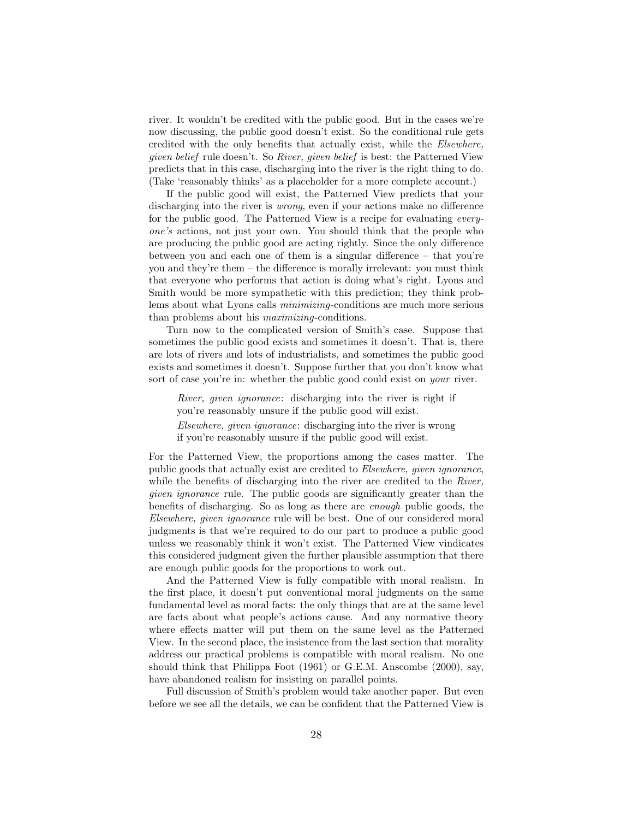river. It wouldn't be credited with the public good. But in the cases we're now discussing, the public good doesn't exist. So the conditional rule gets credited with the only benefits that actually exist, while the Elsewhere, given belief rule doesn't. So River, given belief is best: the Patterned View predicts that in this case, discharging into the river is the right thing to do. (Take 'reasonably thinks' as a placeholder for a more complete account.)

If the public good will exist, the Patterned View predicts that your discharging into the river is wrong, even if your actions make no difference for the public good. The Patterned View is a recipe for evaluating everyone's actions, not just your own. You should think that the people who are producing the public good are acting rightly. Since the only difference between you and each one of them is a singular difference – that you're you and they're them – the difference is morally irrelevant: you must think that everyone who performs that action is doing what's right. Lyons and Smith would be more sympathetic with this prediction; they think problems about what Lyons calls *minimizing*-conditions are much more serious than problems about his maximizing-conditions.

Turn now to the complicated version of Smith's case. Suppose that sometimes the public good exists and sometimes it doesn't. That is, there are lots of rivers and lots of industrialists, and sometimes the public good exists and sometimes it doesn't. Suppose further that you don't know what sort of case you're in: whether the public good could exist on your river.

River, given ignorance: discharging into the river is right if you're reasonably unsure if the public good will exist.

Elsewhere, given ignorance: discharging into the river is wrong if you're reasonably unsure if the public good will exist.

For the Patterned View, the proportions among the cases matter. The public goods that actually exist are credited to Elsewhere, given ignorance, while the benefits of discharging into the river are credited to the River, given ignorance rule. The public goods are significantly greater than the benefits of discharging. So as long as there are enough public goods, the Elsewhere, given ignorance rule will be best. One of our considered moral judgments is that we're required to do our part to produce a public good unless we reasonably think it won't exist. The Patterned View vindicates this considered judgment given the further plausible assumption that there are enough public goods for the proportions to work out.

And the Patterned View is fully compatible with moral realism. In the first place, it doesn't put conventional moral judgments on the same fundamental level as moral facts: the only things that are at the same level are facts about what people's actions cause. And any normative theory where effects matter will put them on the same level as the Patterned View. In the second place, the insistence from the last section that morality address our practical problems is compatible with moral realism. No one should think that Philippa Foot (1961) or G.E.M. Anscombe (2000), say, have abandoned realism for insisting on parallel points.

Full discussion of Smith's problem would take another paper. But even before we see all the details, we can be confident that the Patterned View is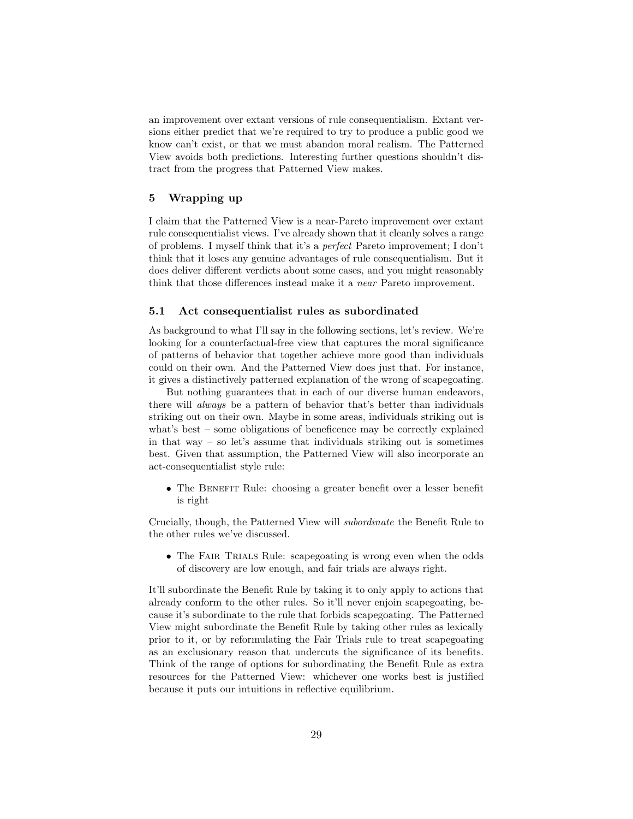an improvement over extant versions of rule consequentialism. Extant versions either predict that we're required to try to produce a public good we know can't exist, or that we must abandon moral realism. The Patterned View avoids both predictions. Interesting further questions shouldn't distract from the progress that Patterned View makes.

# 5 Wrapping up

I claim that the Patterned View is a near-Pareto improvement over extant rule consequentialist views. I've already shown that it cleanly solves a range of problems. I myself think that it's a perfect Pareto improvement; I don't think that it loses any genuine advantages of rule consequentialism. But it does deliver different verdicts about some cases, and you might reasonably think that those differences instead make it a near Pareto improvement.

#### 5.1 Act consequentialist rules as subordinated

As background to what I'll say in the following sections, let's review. We're looking for a counterfactual-free view that captures the moral significance of patterns of behavior that together achieve more good than individuals could on their own. And the Patterned View does just that. For instance, it gives a distinctively patterned explanation of the wrong of scapegoating.

But nothing guarantees that in each of our diverse human endeavors, there will always be a pattern of behavior that's better than individuals striking out on their own. Maybe in some areas, individuals striking out is what's best – some obligations of beneficence may be correctly explained in that way – so let's assume that individuals striking out is sometimes best. Given that assumption, the Patterned View will also incorporate an act-consequentialist style rule:

• The BENEFIT Rule: choosing a greater benefit over a lesser benefit is right

Crucially, though, the Patterned View will subordinate the Benefit Rule to the other rules we've discussed.

• The FAIR TRIALS Rule: scapegoating is wrong even when the odds of discovery are low enough, and fair trials are always right.

It'll subordinate the Benefit Rule by taking it to only apply to actions that already conform to the other rules. So it'll never enjoin scapegoating, because it's subordinate to the rule that forbids scapegoating. The Patterned View might subordinate the Benefit Rule by taking other rules as lexically prior to it, or by reformulating the Fair Trials rule to treat scapegoating as an exclusionary reason that undercuts the significance of its benefits. Think of the range of options for subordinating the Benefit Rule as extra resources for the Patterned View: whichever one works best is justified because it puts our intuitions in reflective equilibrium.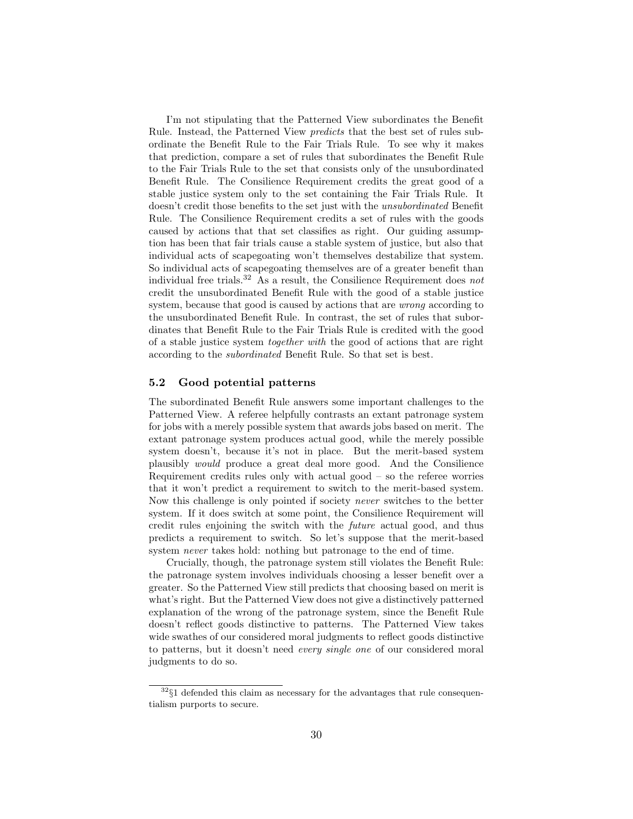I'm not stipulating that the Patterned View subordinates the Benefit Rule. Instead, the Patterned View predicts that the best set of rules subordinate the Benefit Rule to the Fair Trials Rule. To see why it makes that prediction, compare a set of rules that subordinates the Benefit Rule to the Fair Trials Rule to the set that consists only of the unsubordinated Benefit Rule. The Consilience Requirement credits the great good of a stable justice system only to the set containing the Fair Trials Rule. It doesn't credit those benefits to the set just with the unsubordinated Benefit Rule. The Consilience Requirement credits a set of rules with the goods caused by actions that that set classifies as right. Our guiding assumption has been that fair trials cause a stable system of justice, but also that individual acts of scapegoating won't themselves destabilize that system. So individual acts of scapegoating themselves are of a greater benefit than individual free trials.<sup>32</sup> As a result, the Consilience Requirement does *not* credit the unsubordinated Benefit Rule with the good of a stable justice system, because that good is caused by actions that are wrong according to the unsubordinated Benefit Rule. In contrast, the set of rules that subordinates that Benefit Rule to the Fair Trials Rule is credited with the good of a stable justice system together with the good of actions that are right according to the subordinated Benefit Rule. So that set is best.

#### 5.2 Good potential patterns

The subordinated Benefit Rule answers some important challenges to the Patterned View. A referee helpfully contrasts an extant patronage system for jobs with a merely possible system that awards jobs based on merit. The extant patronage system produces actual good, while the merely possible system doesn't, because it's not in place. But the merit-based system plausibly would produce a great deal more good. And the Consilience Requirement credits rules only with actual good  $-$  so the referee worries that it won't predict a requirement to switch to the merit-based system. Now this challenge is only pointed if society never switches to the better system. If it does switch at some point, the Consilience Requirement will credit rules enjoining the switch with the future actual good, and thus predicts a requirement to switch. So let's suppose that the merit-based system never takes hold: nothing but patronage to the end of time.

Crucially, though, the patronage system still violates the Benefit Rule: the patronage system involves individuals choosing a lesser benefit over a greater. So the Patterned View still predicts that choosing based on merit is what's right. But the Patterned View does not give a distinctively patterned explanation of the wrong of the patronage system, since the Benefit Rule doesn't reflect goods distinctive to patterns. The Patterned View takes wide swathes of our considered moral judgments to reflect goods distinctive to patterns, but it doesn't need every single one of our considered moral judgments to do so.

 $32\$ 1 defended this claim as necessary for the advantages that rule consequentialism purports to secure.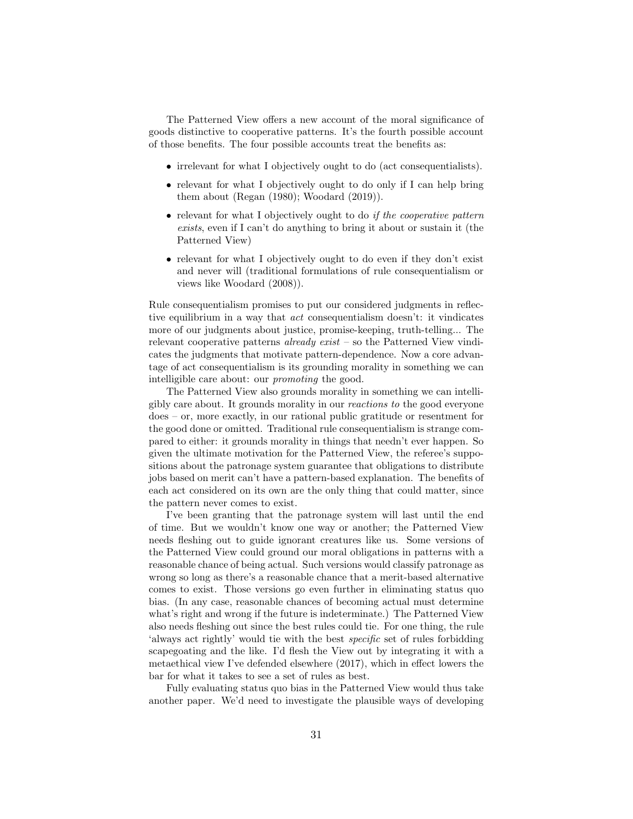The Patterned View offers a new account of the moral significance of goods distinctive to cooperative patterns. It's the fourth possible account of those benefits. The four possible accounts treat the benefits as:

- irrelevant for what I objectively ought to do (act consequentialists).
- relevant for what I objectively ought to do only if I can help bring them about (Regan (1980); Woodard (2019)).
- relevant for what I objectively ought to do *if the cooperative pattern* exists, even if I can't do anything to bring it about or sustain it (the Patterned View)
- relevant for what I objectively ought to do even if they don't exist and never will (traditional formulations of rule consequentialism or views like Woodard (2008)).

Rule consequentialism promises to put our considered judgments in reflective equilibrium in a way that act consequentialism doesn't: it vindicates more of our judgments about justice, promise-keeping, truth-telling... The relevant cooperative patterns *already exist* – so the Patterned View vindicates the judgments that motivate pattern-dependence. Now a core advantage of act consequentialism is its grounding morality in something we can intelligible care about: our promoting the good.

The Patterned View also grounds morality in something we can intelligibly care about. It grounds morality in our reactions to the good everyone does – or, more exactly, in our rational public gratitude or resentment for the good done or omitted. Traditional rule consequentialism is strange compared to either: it grounds morality in things that needn't ever happen. So given the ultimate motivation for the Patterned View, the referee's suppositions about the patronage system guarantee that obligations to distribute jobs based on merit can't have a pattern-based explanation. The benefits of each act considered on its own are the only thing that could matter, since the pattern never comes to exist.

I've been granting that the patronage system will last until the end of time. But we wouldn't know one way or another; the Patterned View needs fleshing out to guide ignorant creatures like us. Some versions of the Patterned View could ground our moral obligations in patterns with a reasonable chance of being actual. Such versions would classify patronage as wrong so long as there's a reasonable chance that a merit-based alternative comes to exist. Those versions go even further in eliminating status quo bias. (In any case, reasonable chances of becoming actual must determine what's right and wrong if the future is indeterminate.) The Patterned View also needs fleshing out since the best rules could tie. For one thing, the rule 'always act rightly' would tie with the best specific set of rules forbidding scapegoating and the like. I'd flesh the View out by integrating it with a metaethical view I've defended elsewhere (2017), which in effect lowers the bar for what it takes to see a set of rules as best.

Fully evaluating status quo bias in the Patterned View would thus take another paper. We'd need to investigate the plausible ways of developing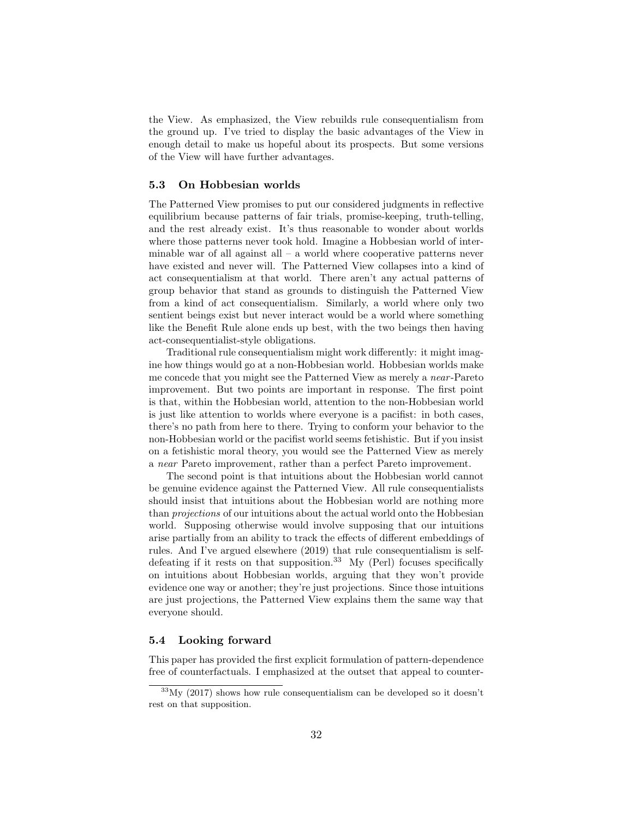the View. As emphasized, the View rebuilds rule consequentialism from the ground up. I've tried to display the basic advantages of the View in enough detail to make us hopeful about its prospects. But some versions of the View will have further advantages.

#### 5.3 On Hobbesian worlds

The Patterned View promises to put our considered judgments in reflective equilibrium because patterns of fair trials, promise-keeping, truth-telling, and the rest already exist. It's thus reasonable to wonder about worlds where those patterns never took hold. Imagine a Hobbesian world of interminable war of all against all  $-$  a world where cooperative patterns never have existed and never will. The Patterned View collapses into a kind of act consequentialism at that world. There aren't any actual patterns of group behavior that stand as grounds to distinguish the Patterned View from a kind of act consequentialism. Similarly, a world where only two sentient beings exist but never interact would be a world where something like the Benefit Rule alone ends up best, with the two beings then having act-consequentialist-style obligations.

Traditional rule consequentialism might work differently: it might imagine how things would go at a non-Hobbesian world. Hobbesian worlds make me concede that you might see the Patterned View as merely a *near*-Pareto improvement. But two points are important in response. The first point is that, within the Hobbesian world, attention to the non-Hobbesian world is just like attention to worlds where everyone is a pacifist: in both cases, there's no path from here to there. Trying to conform your behavior to the non-Hobbesian world or the pacifist world seems fetishistic. But if you insist on a fetishistic moral theory, you would see the Patterned View as merely a near Pareto improvement, rather than a perfect Pareto improvement.

The second point is that intuitions about the Hobbesian world cannot be genuine evidence against the Patterned View. All rule consequentialists should insist that intuitions about the Hobbesian world are nothing more than projections of our intuitions about the actual world onto the Hobbesian world. Supposing otherwise would involve supposing that our intuitions arise partially from an ability to track the effects of different embeddings of rules. And I've argued elsewhere (2019) that rule consequentialism is selfdefeating if it rests on that supposition.<sup>33</sup> My (Perl) focuses specifically on intuitions about Hobbesian worlds, arguing that they won't provide evidence one way or another; they're just projections. Since those intuitions are just projections, the Patterned View explains them the same way that everyone should.

### 5.4 Looking forward

This paper has provided the first explicit formulation of pattern-dependence free of counterfactuals. I emphasized at the outset that appeal to counter-

 $33\,\text{My}$  (2017) shows how rule consequentialism can be developed so it doesn't rest on that supposition.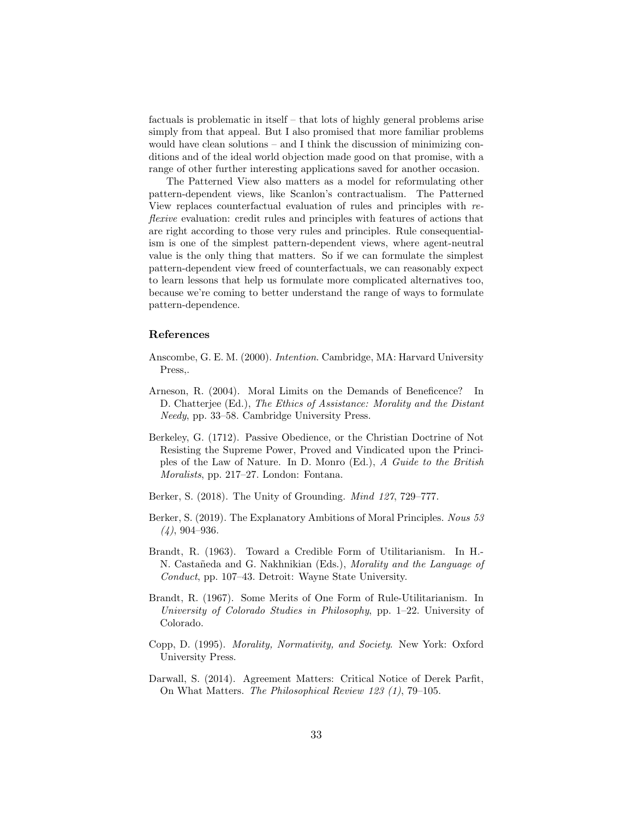factuals is problematic in itself – that lots of highly general problems arise simply from that appeal. But I also promised that more familiar problems would have clean solutions – and I think the discussion of minimizing conditions and of the ideal world objection made good on that promise, with a range of other further interesting applications saved for another occasion.

The Patterned View also matters as a model for reformulating other pattern-dependent views, like Scanlon's contractualism. The Patterned View replaces counterfactual evaluation of rules and principles with reflexive evaluation: credit rules and principles with features of actions that are right according to those very rules and principles. Rule consequentialism is one of the simplest pattern-dependent views, where agent-neutral value is the only thing that matters. So if we can formulate the simplest pattern-dependent view freed of counterfactuals, we can reasonably expect to learn lessons that help us formulate more complicated alternatives too, because we're coming to better understand the range of ways to formulate pattern-dependence.

#### References

- Anscombe, G. E. M. (2000). Intention. Cambridge, MA: Harvard University Press,.
- Arneson, R. (2004). Moral Limits on the Demands of Beneficence? In D. Chatterjee (Ed.), The Ethics of Assistance: Morality and the Distant Needy, pp. 33–58. Cambridge University Press.
- Berkeley, G. (1712). Passive Obedience, or the Christian Doctrine of Not Resisting the Supreme Power, Proved and Vindicated upon the Principles of the Law of Nature. In D. Monro (Ed.), A Guide to the British Moralists, pp. 217–27. London: Fontana.
- Berker, S. (2018). The Unity of Grounding. Mind 127, 729–777.
- Berker, S. (2019). The Explanatory Ambitions of Moral Principles. Nous 53  $(4)$ , 904–936.
- Brandt, R. (1963). Toward a Credible Form of Utilitarianism. In H.- N. Castañeda and G. Nakhnikian (Eds.), *Morality and the Language of* Conduct, pp. 107–43. Detroit: Wayne State University.
- Brandt, R. (1967). Some Merits of One Form of Rule-Utilitarianism. In University of Colorado Studies in Philosophy, pp. 1–22. University of Colorado.
- Copp, D. (1995). Morality, Normativity, and Society. New York: Oxford University Press.
- Darwall, S. (2014). Agreement Matters: Critical Notice of Derek Parfit, On What Matters. The Philosophical Review 123 (1), 79–105.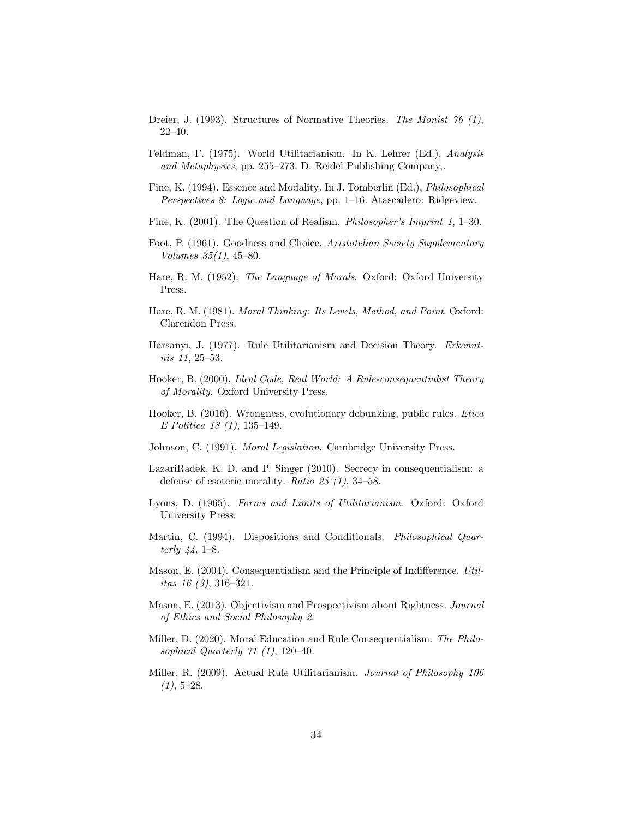- Dreier, J. (1993). Structures of Normative Theories. The Monist 76 (1), 22–40.
- Feldman, F. (1975). World Utilitarianism. In K. Lehrer (Ed.), Analysis and Metaphysics, pp. 255–273. D. Reidel Publishing Company,.
- Fine, K. (1994). Essence and Modality. In J. Tomberlin (Ed.), Philosophical Perspectives 8: Logic and Language, pp. 1–16. Atascadero: Ridgeview.
- Fine, K. (2001). The Question of Realism. Philosopher's Imprint 1, 1–30.
- Foot, P. (1961). Goodness and Choice. Aristotelian Society Supplementary Volumes 35(1), 45–80.
- Hare, R. M. (1952). The Language of Morals. Oxford: Oxford University Press.
- Hare, R. M. (1981). Moral Thinking: Its Levels, Method, and Point. Oxford: Clarendon Press.
- Harsanyi, J. (1977). Rule Utilitarianism and Decision Theory. Erkenntnis 11, 25–53.
- Hooker, B. (2000). Ideal Code, Real World: A Rule-consequentialist Theory of Morality. Oxford University Press.
- Hooker, B. (2016). Wrongness, evolutionary debunking, public rules. Etica E Politica 18 (1), 135–149.
- Johnson, C. (1991). Moral Legislation. Cambridge University Press.
- LazariRadek, K. D. and P. Singer (2010). Secrecy in consequentialism: a defense of esoteric morality. Ratio  $23$  (1), 34–58.
- Lyons, D. (1965). Forms and Limits of Utilitarianism. Oxford: Oxford University Press.
- Martin, C. (1994). Dispositions and Conditionals. *Philosophical Quar*terly 44, 1–8.
- Mason, E. (2004). Consequentialism and the Principle of Indifference. Utilitas 16 (3), 316–321.
- Mason, E. (2013). Objectivism and Prospectivism about Rightness. Journal of Ethics and Social Philosophy 2.
- Miller, D. (2020). Moral Education and Rule Consequentialism. The Philosophical Quarterly  $71$   $(1)$ , 120-40.
- Miller, R. (2009). Actual Rule Utilitarianism. Journal of Philosophy 106  $(1), 5-28.$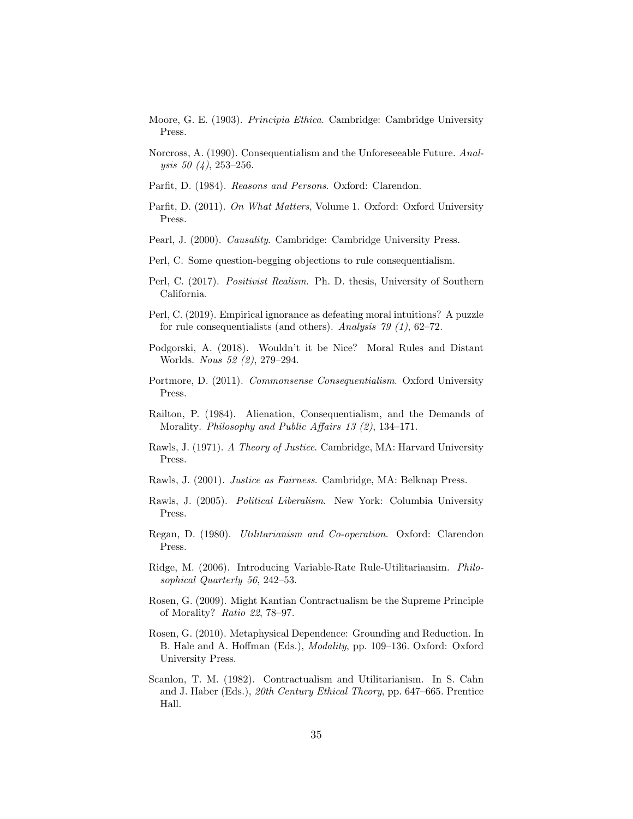- Moore, G. E. (1903). Principia Ethica. Cambridge: Cambridge University Press.
- Norcross, A. (1990). Consequentialism and the Unforeseeable Future. Analysis 50 (4), 253–256.
- Parfit, D. (1984). Reasons and Persons. Oxford: Clarendon.
- Parfit, D. (2011). On What Matters, Volume 1. Oxford: Oxford University Press.
- Pearl, J. (2000). Causality. Cambridge: Cambridge University Press.
- Perl, C. Some question-begging objections to rule consequentialism.
- Perl, C. (2017). Positivist Realism. Ph. D. thesis, University of Southern California.
- Perl, C. (2019). Empirical ignorance as defeating moral intuitions? A puzzle for rule consequentialists (and others). Analysis 79 (1), 62–72.
- Podgorski, A. (2018). Wouldn't it be Nice? Moral Rules and Distant Worlds. Nous 52 (2), 279–294.
- Portmore, D. (2011). Commonsense Consequentialism. Oxford University Press.
- Railton, P. (1984). Alienation, Consequentialism, and the Demands of Morality. Philosophy and Public Affairs 13 (2), 134–171.
- Rawls, J. (1971). A Theory of Justice. Cambridge, MA: Harvard University Press.
- Rawls, J. (2001). Justice as Fairness. Cambridge, MA: Belknap Press.
- Rawls, J. (2005). Political Liberalism. New York: Columbia University Press.
- Regan, D. (1980). Utilitarianism and Co-operation. Oxford: Clarendon Press.
- Ridge, M. (2006). Introducing Variable-Rate Rule-Utilitariansim. Philosophical Quarterly 56, 242–53.
- Rosen, G. (2009). Might Kantian Contractualism be the Supreme Principle of Morality? Ratio 22, 78–97.
- Rosen, G. (2010). Metaphysical Dependence: Grounding and Reduction. In B. Hale and A. Hoffman (Eds.), Modality, pp. 109–136. Oxford: Oxford University Press.
- Scanlon, T. M. (1982). Contractualism and Utilitarianism. In S. Cahn and J. Haber (Eds.), 20th Century Ethical Theory, pp. 647–665. Prentice Hall.